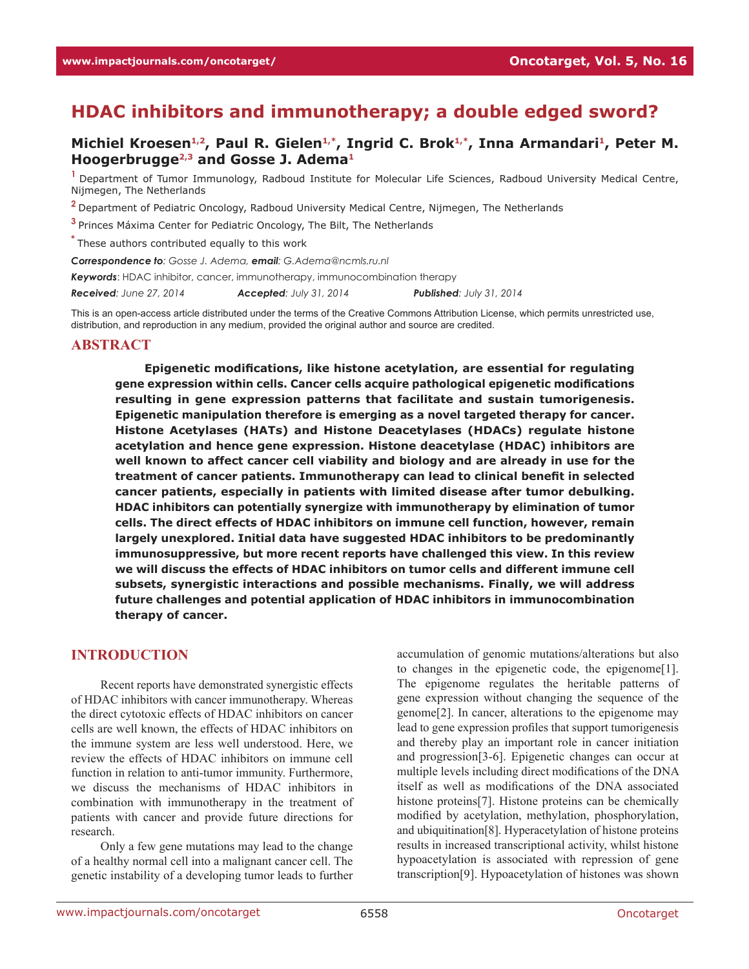# **HDAC inhibitors and immunotherapy; a double edged sword?**

#### Michiel Kroesen<sup>1,2</sup>, Paul R. Gielen<sup>1,\*</sup>, Ingrid C. Brok<sup>1,\*</sup>, Inna Armandari<sup>1</sup>, Peter M. **Hoogerbrugge2,3 and Gosse J. Adema1**

**<sup>1</sup>**Department of Tumor Immunology, Radboud Institute for Molecular Life Sciences, Radboud University Medical Centre, Nijmegen, The Netherlands

**<sup>2</sup>**Department of Pediatric Oncology, Radboud University Medical Centre, Nijmegen, The Netherlands

**<sup>3</sup>**Princes Máxima Center for Pediatric Oncology, The Bilt, The Netherlands

**\*** These authors contributed equally to this work

*Correspondence to: Gosse J. Adema, email: G.Adema@ncmls.ru.nl*

*Keywords*: HDAC inhibitor, cancer, immunotherapy, immunocombination therapy

*Received: June 27, 2014 Accepted: July 31, 2014 Published: July 31, 2014*

This is an open-access article distributed under the terms of the Creative Commons Attribution License, which permits unrestricted use, distribution, and reproduction in any medium, provided the original author and source are credited.

#### **ABSTRACT**

**Epigenetic modifications, like histone acetylation, are essential for regulating gene expression within cells. Cancer cells acquire pathological epigenetic modifications resulting in gene expression patterns that facilitate and sustain tumorigenesis. Epigenetic manipulation therefore is emerging as a novel targeted therapy for cancer. Histone Acetylases (HATs) and Histone Deacetylases (HDACs) regulate histone acetylation and hence gene expression. Histone deacetylase (HDAC) inhibitors are well known to affect cancer cell viability and biology and are already in use for the treatment of cancer patients. Immunotherapy can lead to clinical benefit in selected cancer patients, especially in patients with limited disease after tumor debulking. HDAC inhibitors can potentially synergize with immunotherapy by elimination of tumor cells. The direct effects of HDAC inhibitors on immune cell function, however, remain largely unexplored. Initial data have suggested HDAC inhibitors to be predominantly immunosuppressive, but more recent reports have challenged this view. In this review we will discuss the effects of HDAC inhibitors on tumor cells and different immune cell subsets, synergistic interactions and possible mechanisms. Finally, we will address future challenges and potential application of HDAC inhibitors in immunocombination therapy of cancer.** 

#### **INTRODUCTION**

Recent reports have demonstrated synergistic effects of HDAC inhibitors with cancer immunotherapy. Whereas the direct cytotoxic effects of HDAC inhibitors on cancer cells are well known, the effects of HDAC inhibitors on the immune system are less well understood. Here, we review the effects of HDAC inhibitors on immune cell function in relation to anti-tumor immunity. Furthermore, we discuss the mechanisms of HDAC inhibitors in combination with immunotherapy in the treatment of patients with cancer and provide future directions for research.

Only a few gene mutations may lead to the change of a healthy normal cell into a malignant cancer cell. The genetic instability of a developing tumor leads to further accumulation of genomic mutations/alterations but also to changes in the epigenetic code, the epigenome[1]. The epigenome regulates the heritable patterns of gene expression without changing the sequence of the genome[2]. In cancer, alterations to the epigenome may lead to gene expression profiles that support tumorigenesis and thereby play an important role in cancer initiation and progression[3-6]. Epigenetic changes can occur at multiple levels including direct modifications of the DNA itself as well as modifications of the DNA associated histone proteins<sup>[7]</sup>. Histone proteins can be chemically modified by acetylation, methylation, phosphorylation, and ubiquitination[8]. Hyperacetylation of histone proteins results in increased transcriptional activity, whilst histone hypoacetylation is associated with repression of gene transcription[9]. Hypoacetylation of histones was shown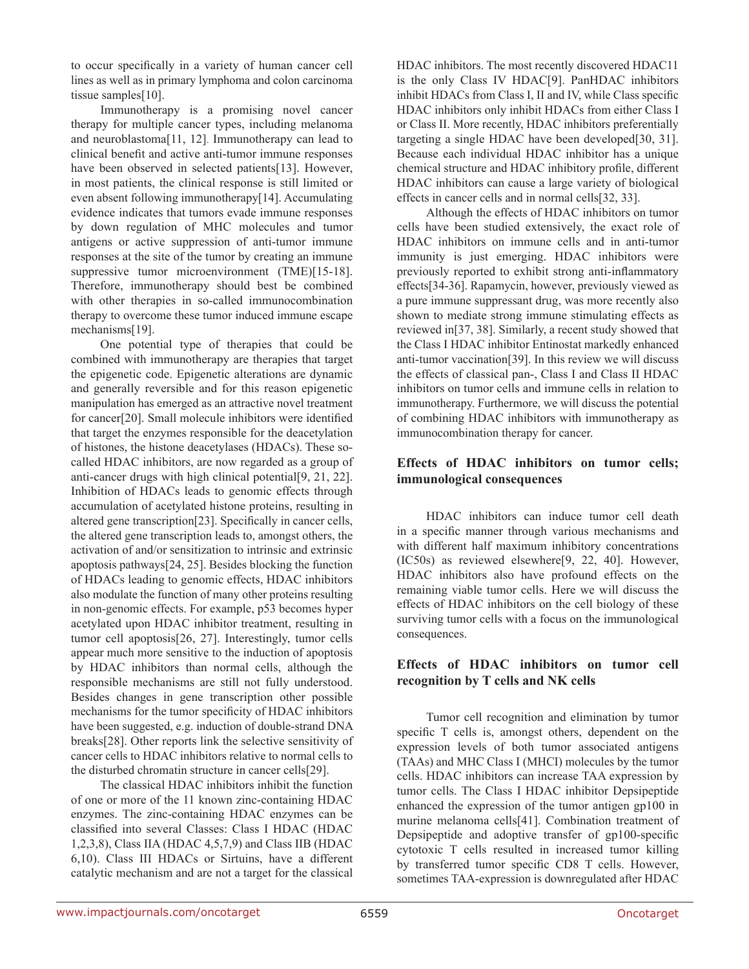to occur specifically in a variety of human cancer cell lines as well as in primary lymphoma and colon carcinoma tissue samples[10].

Immunotherapy is a promising novel cancer therapy for multiple cancer types, including melanoma and neuroblastoma[11, 12]. Immunotherapy can lead to clinical benefit and active anti-tumor immune responses have been observed in selected patients[13]. However, in most patients, the clinical response is still limited or even absent following immunotherapy[14]. Accumulating evidence indicates that tumors evade immune responses by down regulation of MHC molecules and tumor antigens or active suppression of anti-tumor immune responses at the site of the tumor by creating an immune suppressive tumor microenvironment (TME)[15-18]. Therefore, immunotherapy should best be combined with other therapies in so-called immunocombination therapy to overcome these tumor induced immune escape mechanisms[19].

One potential type of therapies that could be combined with immunotherapy are therapies that target the epigenetic code. Epigenetic alterations are dynamic and generally reversible and for this reason epigenetic manipulation has emerged as an attractive novel treatment for cancer[20]. Small molecule inhibitors were identified that target the enzymes responsible for the deacetylation of histones, the histone deacetylases (HDACs). These socalled HDAC inhibitors, are now regarded as a group of anti-cancer drugs with high clinical potential[9, 21, 22]. Inhibition of HDACs leads to genomic effects through accumulation of acetylated histone proteins, resulting in altered gene transcription[23]. Specifically in cancer cells, the altered gene transcription leads to, amongst others, the activation of and/or sensitization to intrinsic and extrinsic apoptosis pathways[24, 25]. Besides blocking the function of HDACs leading to genomic effects, HDAC inhibitors also modulate the function of many other proteins resulting in non-genomic effects. For example, p53 becomes hyper acetylated upon HDAC inhibitor treatment, resulting in tumor cell apoptosis[26, 27]. Interestingly, tumor cells appear much more sensitive to the induction of apoptosis by HDAC inhibitors than normal cells, although the responsible mechanisms are still not fully understood. Besides changes in gene transcription other possible mechanisms for the tumor specificity of HDAC inhibitors have been suggested, e.g. induction of double-strand DNA breaks[28]. Other reports link the selective sensitivity of cancer cells to HDAC inhibitors relative to normal cells to the disturbed chromatin structure in cancer cells[29].

The classical HDAC inhibitors inhibit the function of one or more of the 11 known zinc-containing HDAC enzymes. The zinc-containing HDAC enzymes can be classified into several Classes: Class I HDAC (HDAC 1,2,3,8), Class IIA (HDAC 4,5,7,9) and Class IIB (HDAC 6,10). Class III HDACs or Sirtuins, have a different catalytic mechanism and are not a target for the classical

HDAC inhibitors. The most recently discovered HDAC11 is the only Class IV HDAC[9]. PanHDAC inhibitors inhibit HDACs from Class I, II and IV, while Class specific HDAC inhibitors only inhibit HDACs from either Class I or Class II. More recently, HDAC inhibitors preferentially targeting a single HDAC have been developed[30, 31]. Because each individual HDAC inhibitor has a unique chemical structure and HDAC inhibitory profile, different HDAC inhibitors can cause a large variety of biological effects in cancer cells and in normal cells[32, 33].

Although the effects of HDAC inhibitors on tumor cells have been studied extensively, the exact role of HDAC inhibitors on immune cells and in anti-tumor immunity is just emerging. HDAC inhibitors were previously reported to exhibit strong anti-inflammatory effects[34-36]. Rapamycin, however, previously viewed as a pure immune suppressant drug, was more recently also shown to mediate strong immune stimulating effects as reviewed in[37, 38]. Similarly, a recent study showed that the Class I HDAC inhibitor Entinostat markedly enhanced anti-tumor vaccination[39]. In this review we will discuss the effects of classical pan-, Class I and Class II HDAC inhibitors on tumor cells and immune cells in relation to immunotherapy. Furthermore, we will discuss the potential of combining HDAC inhibitors with immunotherapy as immunocombination therapy for cancer.

#### **Effects of HDAC inhibitors on tumor cells; immunological consequences**

HDAC inhibitors can induce tumor cell death in a specific manner through various mechanisms and with different half maximum inhibitory concentrations (IC50s) as reviewed elsewhere[9, 22, 40]. However, HDAC inhibitors also have profound effects on the remaining viable tumor cells. Here we will discuss the effects of HDAC inhibitors on the cell biology of these surviving tumor cells with a focus on the immunological consequences.

#### **Effects of HDAC inhibitors on tumor cell recognition by T cells and NK cells**

Tumor cell recognition and elimination by tumor specific T cells is, amongst others, dependent on the expression levels of both tumor associated antigens (TAAs) and MHC Class I (MHCI) molecules by the tumor cells. HDAC inhibitors can increase TAA expression by tumor cells. The Class I HDAC inhibitor Depsipeptide enhanced the expression of the tumor antigen gp100 in murine melanoma cells[41]. Combination treatment of Depsipeptide and adoptive transfer of gp100-specific cytotoxic T cells resulted in increased tumor killing by transferred tumor specific CD8 T cells. However, sometimes TAA-expression is downregulated after HDAC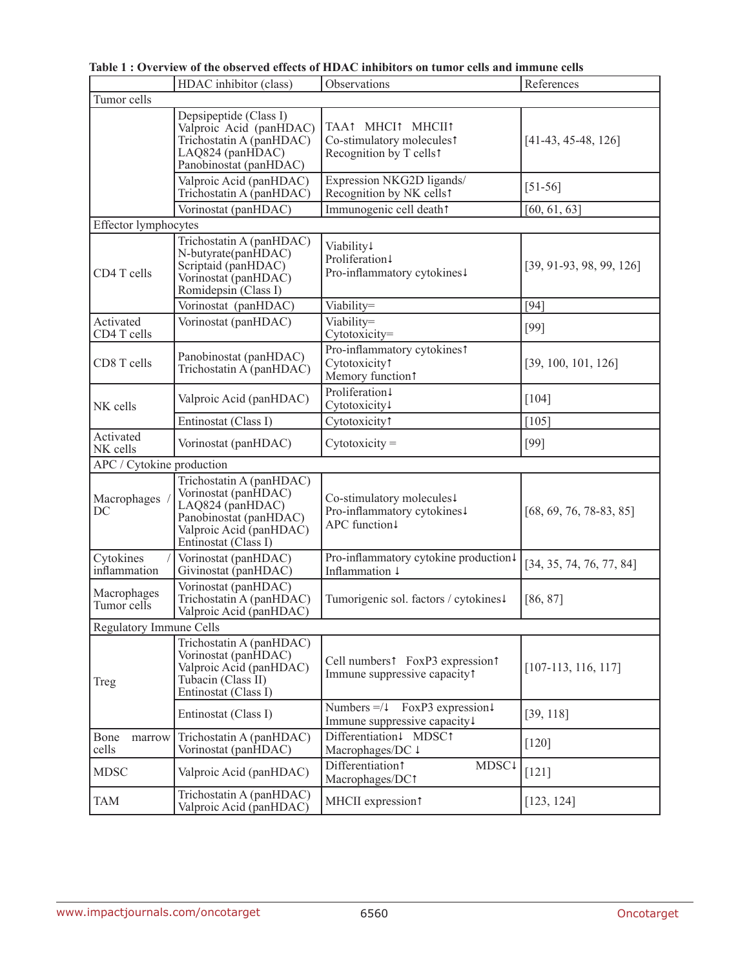|                                | HDAC inhibitor (class)                                                                                                                            | Observations                                                                          | References                 |  |
|--------------------------------|---------------------------------------------------------------------------------------------------------------------------------------------------|---------------------------------------------------------------------------------------|----------------------------|--|
| Tumor cells                    |                                                                                                                                                   |                                                                                       |                            |  |
|                                | Depsipeptide (Class I)<br>Valproic Acid (panHDAC)<br>Trichostatin A (panHDAC)<br>LAQ824 (panHDAC)<br>Panobinostat (panHDAC)                       | TAA1 MHCI1 MHCII1<br>Co-stimulatory molecules1<br>Recognition by T cells <sup>t</sup> | $[41-43, 45-48, 126]$      |  |
|                                | Valproic Acid (panHDAC)<br>Trichostatin A (panHDAC)                                                                                               | Expression NKG2D ligands/<br>Recognition by NK cells?                                 | $[51-56]$                  |  |
|                                | Vorinostat (panHDAC)                                                                                                                              | Immunogenic cell death1                                                               | [60, 61, 63]               |  |
| Effector lymphocytes           |                                                                                                                                                   |                                                                                       |                            |  |
| CD4 T cells                    | Trichostatin A (panHDAC)<br>N-butyrate(panHDAC)<br>Scriptaid (panHDAC)<br>Vorinostat (panHDAC)<br>Romidepsin (Class I)                            | Viability<br>Proliferation↓<br>Pro-inflammatory cytokines!                            | $[39, 91-93, 98, 99, 126]$ |  |
|                                | Vorinostat (panHDAC)                                                                                                                              | Viability=                                                                            | [94]                       |  |
| Activated<br>CD4 T cells       | Vorinostat (panHDAC)                                                                                                                              | Viability=<br>Cytotoxicity=                                                           | [99]                       |  |
| CD8 T cells                    | Panobinostat (panHDAC)<br>Trichostatin A (panHDAC)                                                                                                | Pro-inflammatory cytokines1<br>Cytotoxicity1<br>Memory function1                      | [39, 100, 101, 126]        |  |
| NK cells                       | Valproic Acid (panHDAC)                                                                                                                           | Proliferation↓<br>Cytotoxicity↓                                                       | [104]                      |  |
|                                | Entinostat (Class I)                                                                                                                              | Cytotoxicity1                                                                         | [105]                      |  |
| Activated<br>NK cells          | Vorinostat (panHDAC)                                                                                                                              | $Cytotoxicity =$                                                                      | [99]                       |  |
| APC / Cytokine production      |                                                                                                                                                   |                                                                                       |                            |  |
| Macrophages<br>DC              | Trichostatin A (panHDAC)<br>Vorinostat (panHDAC)<br>LAQ824 (panHDAC)<br>Panobinostat (panHDAC)<br>Valproic Acid (panHDAC)<br>Entinostat (Class I) | Co-stimulatory molecules<br>Pro-inflammatory cytokines!<br>APC function↓              | $[68, 69, 76, 78-83, 85]$  |  |
| Cytokines<br>inflammation      | Vorinostat (panHDAC)<br>Givinostat (panHDAC)                                                                                                      | Pro-inflammatory cytokine production!<br>Inflammation ↓                               | [34, 35, 74, 76, 77, 84]   |  |
| Macrophages<br>Tumor cells     | Vorinostat (panHDAC)<br>Trichostatin A (panHDAC)<br>Valproic Acid (panHDAC)                                                                       | Tumorigenic sol. factors / cytokines1                                                 | [86, 87]                   |  |
| <b>Regulatory Immune Cells</b> |                                                                                                                                                   |                                                                                       |                            |  |
| Treg                           | Trichostatin A (panHDAC)<br>Vorinostat (panHDAC)<br>Valproic Acid (panHDAC)<br>Tubacin (Class II)<br>Entinostat (Class I)                         | Cell numbers1 FoxP3 expression1<br>Immune suppressive capacity?                       | $[107-113, 116, 117]$      |  |
|                                | Entinostat (Class I)                                                                                                                              | Numbers =/ $\downarrow$ FoxP3 expression $\downarrow$<br>Immune suppressive capacity! | [39, 118]                  |  |
| Bone<br>marrow<br>cells        | Trichostatin A (panHDAC)<br>Vorinostat (panHDAC)                                                                                                  | Differentiation1 MDSC1<br>Macrophages/DC 4                                            | $[120]$                    |  |
| <b>MDSC</b>                    | Valproic Acid (panHDAC)                                                                                                                           | Differentiation1<br><b>MDSC1</b><br>Macrophages/DC1                                   | $[121]$                    |  |
| <b>TAM</b>                     | Trichostatin A (panHDAC)<br>Valproic Acid (panHDAC)                                                                                               | MHCII expression1                                                                     | [123, 124]                 |  |

**Table 1 : Overview of the observed effects of HDAC inhibitors on tumor cells and immune cells**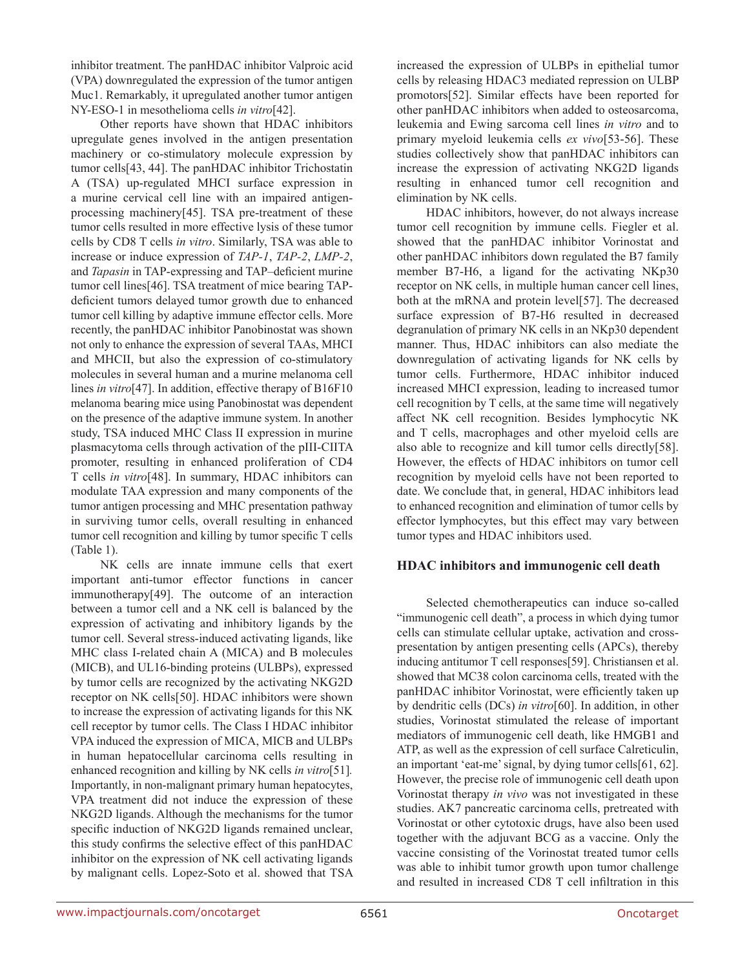inhibitor treatment. The panHDAC inhibitor Valproic acid (VPA) downregulated the expression of the tumor antigen Muc1. Remarkably, it upregulated another tumor antigen NY-ESO-1 in mesothelioma cells *in vitro*[42].

Other reports have shown that HDAC inhibitors upregulate genes involved in the antigen presentation machinery or co-stimulatory molecule expression by tumor cells[43, 44]. The panHDAC inhibitor Trichostatin A (TSA) up-regulated MHCI surface expression in a murine cervical cell line with an impaired antigenprocessing machinery[45]. TSA pre-treatment of these tumor cells resulted in more effective lysis of these tumor cells by CD8 T cells *in vitro*. Similarly, TSA was able to increase or induce expression of *TAP-1*, *TAP-2*, *LMP-2*, and *Tapasin* in TAP-expressing and TAP–deficient murine tumor cell lines[46]. TSA treatment of mice bearing TAPdeficient tumors delayed tumor growth due to enhanced tumor cell killing by adaptive immune effector cells. More recently, the panHDAC inhibitor Panobinostat was shown not only to enhance the expression of several TAAs, MHCI and MHCII, but also the expression of co-stimulatory molecules in several human and a murine melanoma cell lines *in vitro*[47]. In addition, effective therapy of B16F10 melanoma bearing mice using Panobinostat was dependent on the presence of the adaptive immune system. In another study, TSA induced MHC Class II expression in murine plasmacytoma cells through activation of the pIII-CIITA promoter, resulting in enhanced proliferation of CD4 T cells *in vitro*[48]. In summary, HDAC inhibitors can modulate TAA expression and many components of the tumor antigen processing and MHC presentation pathway in surviving tumor cells, overall resulting in enhanced tumor cell recognition and killing by tumor specific T cells (Table 1).

NK cells are innate immune cells that exert important anti-tumor effector functions in cancer immunotherapy[49]. The outcome of an interaction between a tumor cell and a NK cell is balanced by the expression of activating and inhibitory ligands by the tumor cell. Several stress-induced activating ligands, like MHC class I-related chain A (MICA) and B molecules (MICB), and UL16-binding proteins (ULBPs), expressed by tumor cells are recognized by the activating NKG2D receptor on NK cells[50]. HDAC inhibitors were shown to increase the expression of activating ligands for this NK cell receptor by tumor cells. The Class I HDAC inhibitor VPA induced the expression of MICA, MICB and ULBPs in human hepatocellular carcinoma cells resulting in enhanced recognition and killing by NK cells *in vitro*[51]*.* Importantly, in non-malignant primary human hepatocytes, VPA treatment did not induce the expression of these NKG2D ligands. Although the mechanisms for the tumor specific induction of NKG2D ligands remained unclear, this study confirms the selective effect of this panHDAC inhibitor on the expression of NK cell activating ligands by malignant cells. Lopez-Soto et al. showed that TSA increased the expression of ULBPs in epithelial tumor cells by releasing HDAC3 mediated repression on ULBP promotors[52]. Similar effects have been reported for other panHDAC inhibitors when added to osteosarcoma, leukemia and Ewing sarcoma cell lines *in vitro* and to primary myeloid leukemia cells *ex vivo*[53-56]. These studies collectively show that panHDAC inhibitors can increase the expression of activating NKG2D ligands resulting in enhanced tumor cell recognition and elimination by NK cells.

HDAC inhibitors, however, do not always increase tumor cell recognition by immune cells. Fiegler et al. showed that the panHDAC inhibitor Vorinostat and other panHDAC inhibitors down regulated the B7 family member B7-H6, a ligand for the activating NKp30 receptor on NK cells, in multiple human cancer cell lines, both at the mRNA and protein level[57]. The decreased surface expression of B7-H6 resulted in decreased degranulation of primary NK cells in an NKp30 dependent manner. Thus, HDAC inhibitors can also mediate the downregulation of activating ligands for NK cells by tumor cells. Furthermore, HDAC inhibitor induced increased MHCI expression, leading to increased tumor cell recognition by T cells, at the same time will negatively affect NK cell recognition. Besides lymphocytic NK and T cells, macrophages and other myeloid cells are also able to recognize and kill tumor cells directly[58]. However, the effects of HDAC inhibitors on tumor cell recognition by myeloid cells have not been reported to date. We conclude that, in general, HDAC inhibitors lead to enhanced recognition and elimination of tumor cells by effector lymphocytes, but this effect may vary between tumor types and HDAC inhibitors used.

#### **HDAC inhibitors and immunogenic cell death**

Selected chemotherapeutics can induce so-called "immunogenic cell death", a process in which dying tumor cells can stimulate cellular uptake, activation and crosspresentation by antigen presenting cells (APCs), thereby inducing antitumor T cell responses[59]. Christiansen et al. showed that MC38 colon carcinoma cells, treated with the panHDAC inhibitor Vorinostat, were efficiently taken up by dendritic cells (DCs) *in vitro*[60]. In addition, in other studies, Vorinostat stimulated the release of important mediators of immunogenic cell death, like HMGB1 and ATP, as well as the expression of cell surface Calreticulin, an important 'eat-me' signal, by dying tumor cells[61, 62]. However, the precise role of immunogenic cell death upon Vorinostat therapy *in vivo* was not investigated in these studies. AK7 pancreatic carcinoma cells, pretreated with Vorinostat or other cytotoxic drugs, have also been used together with the adjuvant BCG as a vaccine. Only the vaccine consisting of the Vorinostat treated tumor cells was able to inhibit tumor growth upon tumor challenge and resulted in increased CD8 T cell infiltration in this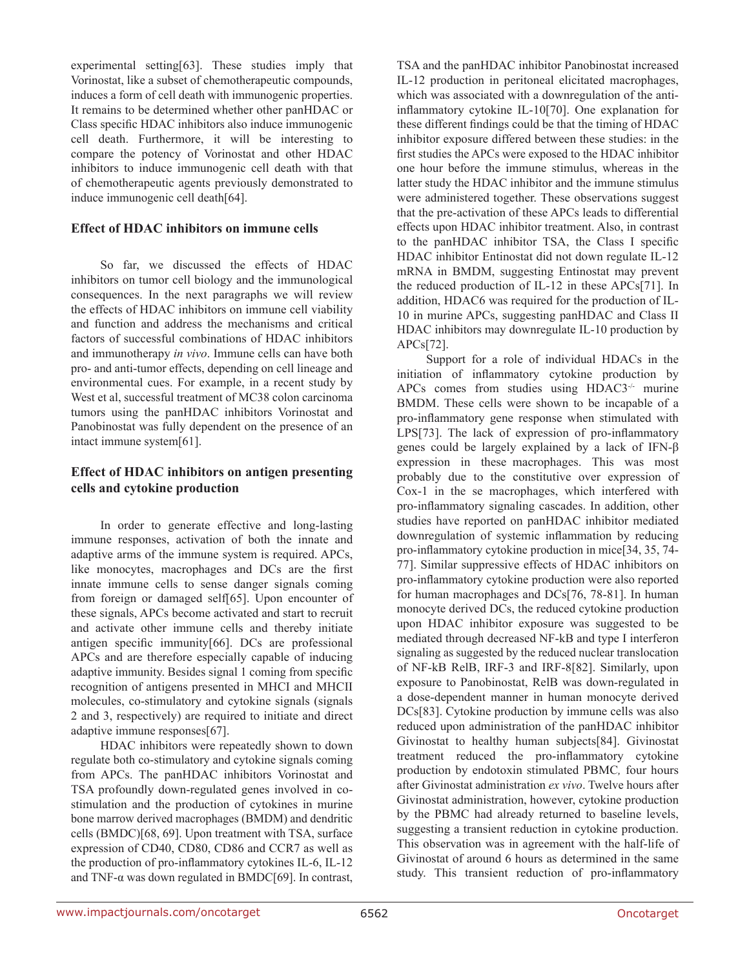experimental setting[63]. These studies imply that Vorinostat, like a subset of chemotherapeutic compounds, induces a form of cell death with immunogenic properties. It remains to be determined whether other panHDAC or Class specific HDAC inhibitors also induce immunogenic cell death. Furthermore, it will be interesting to compare the potency of Vorinostat and other HDAC inhibitors to induce immunogenic cell death with that of chemotherapeutic agents previously demonstrated to induce immunogenic cell death[64].

#### **Effect of HDAC inhibitors on immune cells**

So far, we discussed the effects of HDAC inhibitors on tumor cell biology and the immunological consequences. In the next paragraphs we will review the effects of HDAC inhibitors on immune cell viability and function and address the mechanisms and critical factors of successful combinations of HDAC inhibitors and immunotherapy *in vivo*. Immune cells can have both pro- and anti-tumor effects, depending on cell lineage and environmental cues. For example, in a recent study by West et al, successful treatment of MC38 colon carcinoma tumors using the panHDAC inhibitors Vorinostat and Panobinostat was fully dependent on the presence of an intact immune system[61].

#### **Effect of HDAC inhibitors on antigen presenting cells and cytokine production**

In order to generate effective and long-lasting immune responses, activation of both the innate and adaptive arms of the immune system is required. APCs, like monocytes, macrophages and DCs are the first innate immune cells to sense danger signals coming from foreign or damaged self[65]. Upon encounter of these signals, APCs become activated and start to recruit and activate other immune cells and thereby initiate antigen specific immunity[66]. DCs are professional APCs and are therefore especially capable of inducing adaptive immunity. Besides signal 1 coming from specific recognition of antigens presented in MHCI and MHCII molecules, co-stimulatory and cytokine signals (signals 2 and 3, respectively) are required to initiate and direct adaptive immune responses[67].

HDAC inhibitors were repeatedly shown to down regulate both co-stimulatory and cytokine signals coming from APCs. The panHDAC inhibitors Vorinostat and TSA profoundly down-regulated genes involved in costimulation and the production of cytokines in murine bone marrow derived macrophages (BMDM) and dendritic cells (BMDC)[68, 69]. Upon treatment with TSA, surface expression of CD40, CD80, CD86 and CCR7 as well as the production of pro-inflammatory cytokines IL-6, IL-12 and TNF- $\alpha$  was down regulated in BMDC[69]. In contrast, TSA and the panHDAC inhibitor Panobinostat increased IL-12 production in peritoneal elicitated macrophages, which was associated with a downregulation of the antiinflammatory cytokine IL-10[70]. One explanation for these different findings could be that the timing of HDAC inhibitor exposure differed between these studies: in the first studies the APCs were exposed to the HDAC inhibitor one hour before the immune stimulus, whereas in the latter study the HDAC inhibitor and the immune stimulus were administered together. These observations suggest that the pre-activation of these APCs leads to differential effects upon HDAC inhibitor treatment. Also, in contrast to the panHDAC inhibitor TSA, the Class I specific HDAC inhibitor Entinostat did not down regulate IL-12 mRNA in BMDM, suggesting Entinostat may prevent the reduced production of IL-12 in these APCs[71]. In addition, HDAC6 was required for the production of IL-10 in murine APCs, suggesting panHDAC and Class II HDAC inhibitors may downregulate IL-10 production by APCs[72].

Support for a role of individual HDACs in the initiation of inflammatory cytokine production by APCs comes from studies using  $HDAC3<sup>-/-</sup>$  murine BMDM. These cells were shown to be incapable of a pro-inflammatory gene response when stimulated with LPS[73]. The lack of expression of pro-inflammatory genes could be largely explained by a lack of IFN-β expression in these macrophages. This was most probably due to the constitutive over expression of Cox-1 in the se macrophages, which interfered with pro-inflammatory signaling cascades. In addition, other studies have reported on panHDAC inhibitor mediated downregulation of systemic inflammation by reducing pro-inflammatory cytokine production in mice[34, 35, 74- 77]. Similar suppressive effects of HDAC inhibitors on pro-inflammatory cytokine production were also reported for human macrophages and DCs[76, 78-81]. In human monocyte derived DCs, the reduced cytokine production upon HDAC inhibitor exposure was suggested to be mediated through decreased NF-kB and type I interferon signaling as suggested by the reduced nuclear translocation of NF-kB RelB, IRF-3 and IRF-8[82]. Similarly, upon exposure to Panobinostat, RelB was down-regulated in a dose-dependent manner in human monocyte derived DCs[83]. Cytokine production by immune cells was also reduced upon administration of the panHDAC inhibitor Givinostat to healthy human subjects[84]. Givinostat treatment reduced the pro-inflammatory cytokine production by endotoxin stimulated PBMC*,* four hours after Givinostat administration *ex vivo*. Twelve hours after Givinostat administration, however, cytokine production by the PBMC had already returned to baseline levels, suggesting a transient reduction in cytokine production. This observation was in agreement with the half-life of Givinostat of around 6 hours as determined in the same study. This transient reduction of pro-inflammatory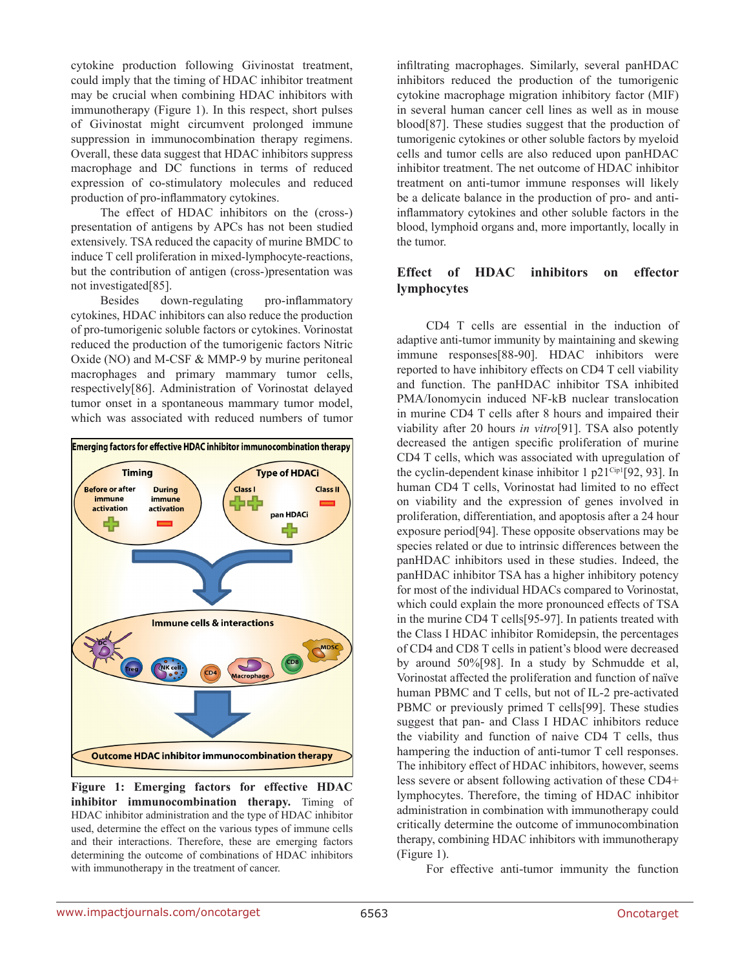cytokine production following Givinostat treatment, could imply that the timing of HDAC inhibitor treatment may be crucial when combining HDAC inhibitors with immunotherapy (Figure 1). In this respect, short pulses of Givinostat might circumvent prolonged immune suppression in immunocombination therapy regimens. Overall, these data suggest that HDAC inhibitors suppress macrophage and DC functions in terms of reduced expression of co-stimulatory molecules and reduced production of pro-inflammatory cytokines.

The effect of HDAC inhibitors on the (cross-) presentation of antigens by APCs has not been studied extensively. TSA reduced the capacity of murine BMDC to induce T cell proliferation in mixed-lymphocyte-reactions, but the contribution of antigen (cross-)presentation was not investigated[85].

Besides down-regulating pro-inflammatory cytokines, HDAC inhibitors can also reduce the production of pro-tumorigenic soluble factors or cytokines. Vorinostat reduced the production of the tumorigenic factors Nitric Oxide (NO) and M-CSF & MMP-9 by murine peritoneal macrophages and primary mammary tumor cells, respectively[86]. Administration of Vorinostat delayed tumor onset in a spontaneous mammary tumor model, which was associated with reduced numbers of tumor



**Figure 1: Emerging factors for effective HDAC inhibitor immunocombination therapy.** Timing of HDAC inhibitor administration and the type of HDAC inhibitor used, determine the effect on the various types of immune cells and their interactions. Therefore, these are emerging factors determining the outcome of combinations of HDAC inhibitors with immunotherapy in the treatment of cancer.

infiltrating macrophages. Similarly, several panHDAC inhibitors reduced the production of the tumorigenic cytokine macrophage migration inhibitory factor (MIF) in several human cancer cell lines as well as in mouse blood[87]. These studies suggest that the production of tumorigenic cytokines or other soluble factors by myeloid cells and tumor cells are also reduced upon panHDAC inhibitor treatment. The net outcome of HDAC inhibitor treatment on anti-tumor immune responses will likely be a delicate balance in the production of pro- and antiinflammatory cytokines and other soluble factors in the blood, lymphoid organs and, more importantly, locally in the tumor.

#### **Effect of HDAC inhibitors on effector lymphocytes**

CD4 T cells are essential in the induction of adaptive anti-tumor immunity by maintaining and skewing immune responses[88-90]. HDAC inhibitors were reported to have inhibitory effects on CD4 T cell viability and function. The panHDAC inhibitor TSA inhibited PMA/Ionomycin induced NF-kB nuclear translocation in murine CD4 T cells after 8 hours and impaired their viability after 20 hours *in vitro*[91]. TSA also potently decreased the antigen specific proliferation of murine CD4 T cells, which was associated with upregulation of the cyclin-dependent kinase inhibitor 1  $p21^{\text{Cip1}}[92, 93]$ . In human CD4 T cells, Vorinostat had limited to no effect on viability and the expression of genes involved in proliferation, differentiation, and apoptosis after a 24 hour exposure period[94]. These opposite observations may be species related or due to intrinsic differences between the panHDAC inhibitors used in these studies. Indeed, the panHDAC inhibitor TSA has a higher inhibitory potency for most of the individual HDACs compared to Vorinostat, which could explain the more pronounced effects of TSA in the murine CD4 T cells[95-97]. In patients treated with the Class I HDAC inhibitor Romidepsin, the percentages of CD4 and CD8 T cells in patient's blood were decreased by around 50%[98]. In a study by Schmudde et al, Vorinostat affected the proliferation and function of naïve human PBMC and T cells, but not of IL-2 pre-activated PBMC or previously primed T cells[99]. These studies suggest that pan- and Class I HDAC inhibitors reduce the viability and function of naive CD4 T cells, thus hampering the induction of anti-tumor T cell responses. The inhibitory effect of HDAC inhibitors, however, seems less severe or absent following activation of these CD4+ lymphocytes. Therefore, the timing of HDAC inhibitor administration in combination with immunotherapy could critically determine the outcome of immunocombination therapy, combining HDAC inhibitors with immunotherapy (Figure 1).

For effective anti-tumor immunity the function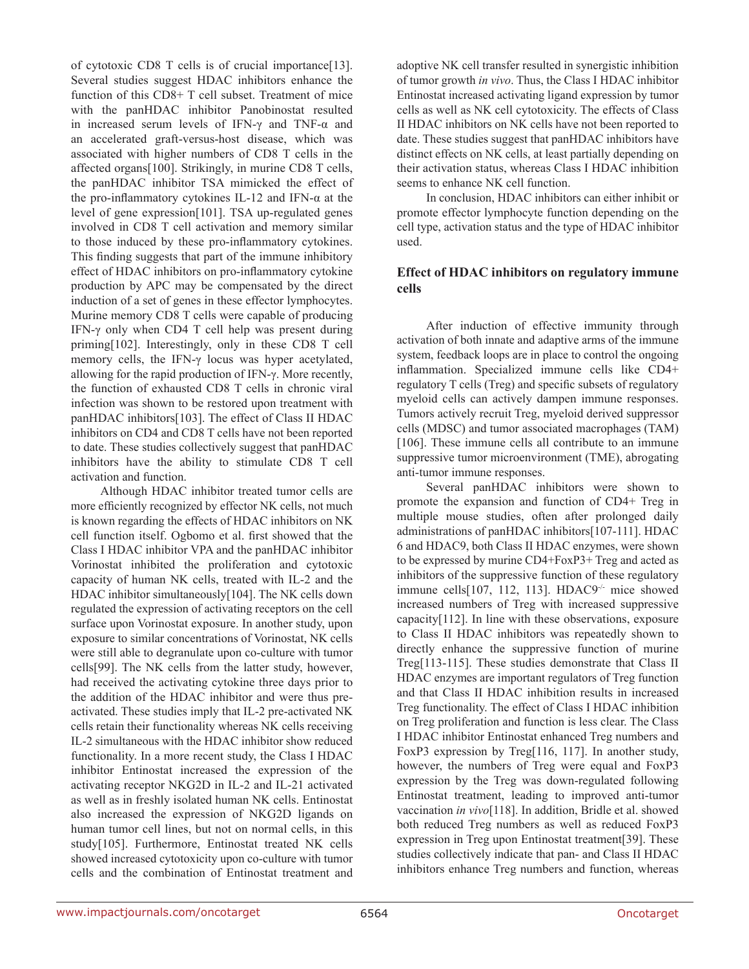of cytotoxic CD8 T cells is of crucial importance[13]. Several studies suggest HDAC inhibitors enhance the function of this CD8+ T cell subset. Treatment of mice with the panHDAC inhibitor Panobinostat resulted in increased serum levels of IFN-γ and TNF-α and an accelerated graft-versus-host disease, which was associated with higher numbers of CD8 T cells in the affected organs[100]. Strikingly, in murine CD8 T cells, the panHDAC inhibitor TSA mimicked the effect of the pro-inflammatory cytokines IL-12 and IFN- $α$  at the level of gene expression[101]. TSA up-regulated genes involved in CD8 T cell activation and memory similar to those induced by these pro-inflammatory cytokines. This finding suggests that part of the immune inhibitory effect of HDAC inhibitors on pro-inflammatory cytokine production by APC may be compensated by the direct induction of a set of genes in these effector lymphocytes. Murine memory CD8 T cells were capable of producing IFN-γ only when CD4 T cell help was present during priming[102]. Interestingly, only in these CD8 T cell memory cells, the IFN-γ locus was hyper acetylated, allowing for the rapid production of IFN-γ. More recently, the function of exhausted CD8 T cells in chronic viral infection was shown to be restored upon treatment with panHDAC inhibitors[103]. The effect of Class II HDAC inhibitors on CD4 and CD8 T cells have not been reported to date. These studies collectively suggest that panHDAC inhibitors have the ability to stimulate CD8 T cell activation and function.

Although HDAC inhibitor treated tumor cells are more efficiently recognized by effector NK cells, not much is known regarding the effects of HDAC inhibitors on NK cell function itself. Ogbomo et al. first showed that the Class I HDAC inhibitor VPA and the panHDAC inhibitor Vorinostat inhibited the proliferation and cytotoxic capacity of human NK cells, treated with IL-2 and the HDAC inhibitor simultaneously[104]. The NK cells down regulated the expression of activating receptors on the cell surface upon Vorinostat exposure. In another study, upon exposure to similar concentrations of Vorinostat, NK cells were still able to degranulate upon co-culture with tumor cells[99]. The NK cells from the latter study, however, had received the activating cytokine three days prior to the addition of the HDAC inhibitor and were thus preactivated. These studies imply that IL-2 pre-activated NK cells retain their functionality whereas NK cells receiving IL-2 simultaneous with the HDAC inhibitor show reduced functionality. In a more recent study, the Class I HDAC inhibitor Entinostat increased the expression of the activating receptor NKG2D in IL-2 and IL-21 activated as well as in freshly isolated human NK cells. Entinostat also increased the expression of NKG2D ligands on human tumor cell lines, but not on normal cells, in this study[105]. Furthermore, Entinostat treated NK cells showed increased cytotoxicity upon co-culture with tumor cells and the combination of Entinostat treatment and adoptive NK cell transfer resulted in synergistic inhibition of tumor growth *in vivo*. Thus, the Class I HDAC inhibitor Entinostat increased activating ligand expression by tumor cells as well as NK cell cytotoxicity. The effects of Class II HDAC inhibitors on NK cells have not been reported to date. These studies suggest that panHDAC inhibitors have distinct effects on NK cells, at least partially depending on their activation status, whereas Class I HDAC inhibition seems to enhance NK cell function.

In conclusion, HDAC inhibitors can either inhibit or promote effector lymphocyte function depending on the cell type, activation status and the type of HDAC inhibitor used.

## **Effect of HDAC inhibitors on regulatory immune cells**

After induction of effective immunity through activation of both innate and adaptive arms of the immune system, feedback loops are in place to control the ongoing inflammation. Specialized immune cells like CD4+ regulatory T cells (Treg) and specific subsets of regulatory myeloid cells can actively dampen immune responses. Tumors actively recruit Treg, myeloid derived suppressor cells (MDSC) and tumor associated macrophages (TAM) [106]. These immune cells all contribute to an immune suppressive tumor microenvironment (TME), abrogating anti-tumor immune responses.

Several panHDAC inhibitors were shown to promote the expansion and function of CD4+ Treg in multiple mouse studies, often after prolonged daily administrations of panHDAC inhibitors[107-111]. HDAC 6 and HDAC9, both Class II HDAC enzymes, were shown to be expressed by murine CD4+FoxP3+ Treg and acted as inhibitors of the suppressive function of these regulatory immune cells $[107, 112, 113]$ . HDAC9<sup>-/-</sup> mice showed increased numbers of Treg with increased suppressive capacity[112]. In line with these observations, exposure to Class II HDAC inhibitors was repeatedly shown to directly enhance the suppressive function of murine Treg[113-115]. These studies demonstrate that Class II HDAC enzymes are important regulators of Treg function and that Class II HDAC inhibition results in increased Treg functionality. The effect of Class I HDAC inhibition on Treg proliferation and function is less clear. The Class I HDAC inhibitor Entinostat enhanced Treg numbers and FoxP3 expression by Treg[116, 117]. In another study, however, the numbers of Treg were equal and FoxP3 expression by the Treg was down-regulated following Entinostat treatment, leading to improved anti-tumor vaccination *in vivo*[118]. In addition, Bridle et al. showed both reduced Treg numbers as well as reduced FoxP3 expression in Treg upon Entinostat treatment[39]. These studies collectively indicate that pan- and Class II HDAC inhibitors enhance Treg numbers and function, whereas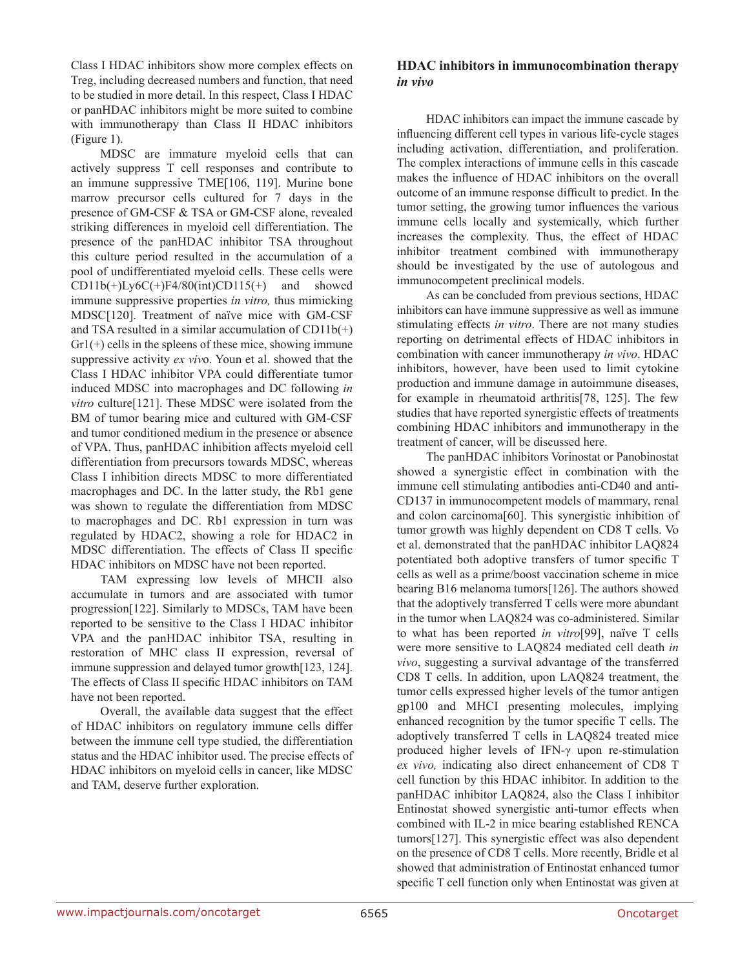Class I HDAC inhibitors show more complex effects on Treg, including decreased numbers and function, that need to be studied in more detail. In this respect, Class I HDAC or panHDAC inhibitors might be more suited to combine with immunotherapy than Class II HDAC inhibitors (Figure 1).

MDSC are immature myeloid cells that can actively suppress T cell responses and contribute to an immune suppressive TME[106, 119]. Murine bone marrow precursor cells cultured for 7 days in the presence of GM-CSF & TSA or GM-CSF alone, revealed striking differences in myeloid cell differentiation. The presence of the panHDAC inhibitor TSA throughout this culture period resulted in the accumulation of a pool of undifferentiated myeloid cells. These cells were  $CD11b(+)Ly6C(+)F4/80(int)CD115(+)$  and showed immune suppressive properties *in vitro,* thus mimicking MDSC[120]. Treatment of naïve mice with GM-CSF and TSA resulted in a similar accumulation of CD11b(+)  $Gr1(+)$  cells in the spleens of these mice, showing immune suppressive activity *ex viv*o. Youn et al. showed that the Class I HDAC inhibitor VPA could differentiate tumor induced MDSC into macrophages and DC following *in vitro* culture[121]. These MDSC were isolated from the BM of tumor bearing mice and cultured with GM-CSF and tumor conditioned medium in the presence or absence of VPA. Thus, panHDAC inhibition affects myeloid cell differentiation from precursors towards MDSC, whereas Class I inhibition directs MDSC to more differentiated macrophages and DC. In the latter study, the Rb1 gene was shown to regulate the differentiation from MDSC to macrophages and DC. Rb1 expression in turn was regulated by HDAC2, showing a role for HDAC2 in MDSC differentiation. The effects of Class II specific HDAC inhibitors on MDSC have not been reported.

TAM expressing low levels of MHCII also accumulate in tumors and are associated with tumor progression[122]. Similarly to MDSCs, TAM have been reported to be sensitive to the Class I HDAC inhibitor VPA and the panHDAC inhibitor TSA, resulting in restoration of MHC class II expression, reversal of immune suppression and delayed tumor growth[123, 124]. The effects of Class II specific HDAC inhibitors on TAM have not been reported.

Overall, the available data suggest that the effect of HDAC inhibitors on regulatory immune cells differ between the immune cell type studied, the differentiation status and the HDAC inhibitor used. The precise effects of HDAC inhibitors on myeloid cells in cancer, like MDSC and TAM, deserve further exploration.

#### **HDAC inhibitors in immunocombination therapy**  *in vivo*

HDAC inhibitors can impact the immune cascade by influencing different cell types in various life-cycle stages including activation, differentiation, and proliferation. The complex interactions of immune cells in this cascade makes the influence of HDAC inhibitors on the overall outcome of an immune response difficult to predict. In the tumor setting, the growing tumor influences the various immune cells locally and systemically, which further increases the complexity. Thus, the effect of HDAC inhibitor treatment combined with immunotherapy should be investigated by the use of autologous and immunocompetent preclinical models.

As can be concluded from previous sections, HDAC inhibitors can have immune suppressive as well as immune stimulating effects *in vitro*. There are not many studies reporting on detrimental effects of HDAC inhibitors in combination with cancer immunotherapy *in vivo*. HDAC inhibitors, however, have been used to limit cytokine production and immune damage in autoimmune diseases, for example in rheumatoid arthritis[78, 125]. The few studies that have reported synergistic effects of treatments combining HDAC inhibitors and immunotherapy in the treatment of cancer, will be discussed here.

The panHDAC inhibitors Vorinostat or Panobinostat showed a synergistic effect in combination with the immune cell stimulating antibodies anti-CD40 and anti-CD137 in immunocompetent models of mammary, renal and colon carcinoma[60]. This synergistic inhibition of tumor growth was highly dependent on CD8 T cells. Vo et al. demonstrated that the panHDAC inhibitor LAQ824 potentiated both adoptive transfers of tumor specific T cells as well as a prime/boost vaccination scheme in mice bearing B16 melanoma tumors[126]. The authors showed that the adoptively transferred T cells were more abundant in the tumor when LAQ824 was co-administered. Similar to what has been reported *in vitro*[99], naïve T cells were more sensitive to LAQ824 mediated cell death *in vivo*, suggesting a survival advantage of the transferred CD8 T cells. In addition, upon LAQ824 treatment, the tumor cells expressed higher levels of the tumor antigen gp100 and MHCI presenting molecules, implying enhanced recognition by the tumor specific T cells. The adoptively transferred T cells in LAQ824 treated mice produced higher levels of IFN-γ upon re-stimulation *ex vivo,* indicating also direct enhancement of CD8 T cell function by this HDAC inhibitor. In addition to the panHDAC inhibitor LAQ824, also the Class I inhibitor Entinostat showed synergistic anti-tumor effects when combined with IL-2 in mice bearing established RENCA tumors[127]. This synergistic effect was also dependent on the presence of CD8 T cells. More recently, Bridle et al showed that administration of Entinostat enhanced tumor specific T cell function only when Entinostat was given at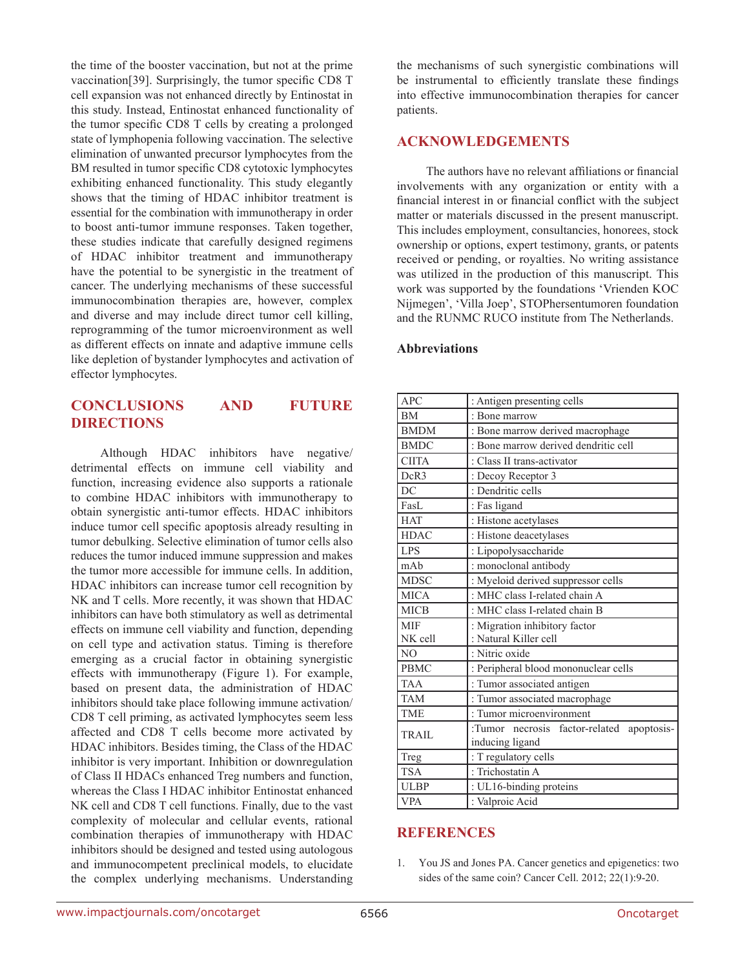the time of the booster vaccination, but not at the prime vaccination[39]. Surprisingly, the tumor specific CD8 T cell expansion was not enhanced directly by Entinostat in this study. Instead, Entinostat enhanced functionality of the tumor specific CD8 T cells by creating a prolonged state of lymphopenia following vaccination. The selective elimination of unwanted precursor lymphocytes from the BM resulted in tumor specific CD8 cytotoxic lymphocytes exhibiting enhanced functionality. This study elegantly shows that the timing of HDAC inhibitor treatment is essential for the combination with immunotherapy in order to boost anti-tumor immune responses. Taken together, these studies indicate that carefully designed regimens of HDAC inhibitor treatment and immunotherapy have the potential to be synergistic in the treatment of cancer. The underlying mechanisms of these successful immunocombination therapies are, however, complex and diverse and may include direct tumor cell killing, reprogramming of the tumor microenvironment as well as different effects on innate and adaptive immune cells like depletion of bystander lymphocytes and activation of effector lymphocytes.

# **CONCLUSIONS AND FUTURE DIRECTIONS**

Although HDAC inhibitors have negative/ detrimental effects on immune cell viability and function, increasing evidence also supports a rationale to combine HDAC inhibitors with immunotherapy to obtain synergistic anti-tumor effects. HDAC inhibitors induce tumor cell specific apoptosis already resulting in tumor debulking. Selective elimination of tumor cells also reduces the tumor induced immune suppression and makes the tumor more accessible for immune cells. In addition, HDAC inhibitors can increase tumor cell recognition by NK and T cells. More recently, it was shown that HDAC inhibitors can have both stimulatory as well as detrimental effects on immune cell viability and function, depending on cell type and activation status. Timing is therefore emerging as a crucial factor in obtaining synergistic effects with immunotherapy (Figure 1). For example, based on present data, the administration of HDAC inhibitors should take place following immune activation/ CD8 T cell priming, as activated lymphocytes seem less affected and CD8 T cells become more activated by HDAC inhibitors. Besides timing, the Class of the HDAC inhibitor is very important. Inhibition or downregulation of Class II HDACs enhanced Treg numbers and function, whereas the Class I HDAC inhibitor Entinostat enhanced NK cell and CD8 T cell functions. Finally, due to the vast complexity of molecular and cellular events, rational combination therapies of immunotherapy with HDAC inhibitors should be designed and tested using autologous and immunocompetent preclinical models, to elucidate the complex underlying mechanisms. Understanding the mechanisms of such synergistic combinations will be instrumental to efficiently translate these findings into effective immunocombination therapies for cancer patients.

## **ACKNOWLEDGEMENTS**

The authors have no relevant affiliations or financial involvements with any organization or entity with a financial interest in or financial conflict with the subject matter or materials discussed in the present manuscript. This includes employment, consultancies, honorees, stock ownership or options, expert testimony, grants, or patents received or pending, or royalties. No writing assistance was utilized in the production of this manuscript. This work was supported by the foundations 'Vrienden KOC Nijmegen', 'Villa Joep', STOPhersentumoren foundation and the RUNMC RUCO institute from The Netherlands.

#### **Abbreviations**

| <b>APC</b>     | : Antigen presenting cells                                      |  |
|----------------|-----------------------------------------------------------------|--|
| <b>BM</b>      | : Bone marrow                                                   |  |
| <b>BMDM</b>    | : Bone marrow derived macrophage                                |  |
| <b>BMDC</b>    | : Bone marrow derived dendritic cell                            |  |
| <b>CIITA</b>   | : Class II trans-activator                                      |  |
| DcR3           | : Decoy Receptor 3                                              |  |
| DC             | : Dendritic cells                                               |  |
| FasL           | : Fas ligand                                                    |  |
| <b>HAT</b>     | : Histone acetylases                                            |  |
| <b>HDAC</b>    | : Histone deacetylases                                          |  |
| <b>LPS</b>     | : Lipopolysaccharide                                            |  |
| mAb            | : monoclonal antibody                                           |  |
| <b>MDSC</b>    | : Myeloid derived suppressor cells                              |  |
| <b>MICA</b>    | : MHC class I-related chain A                                   |  |
| <b>MICB</b>    | : MHC class I-related chain B                                   |  |
| <b>MIF</b>     | : Migration inhibitory factor                                   |  |
| NK cell        | : Natural Killer cell                                           |  |
| N <sub>O</sub> | : Nitric oxide                                                  |  |
| <b>PBMC</b>    | : Peripheral blood mononuclear cells                            |  |
| <b>TAA</b>     | : Tumor associated antigen                                      |  |
| <b>TAM</b>     | : Tumor associated macrophage                                   |  |
| <b>TME</b>     | : Tumor microenvironment                                        |  |
| TRAIL          | :Tumor necrosis factor-related<br>apoptosis-<br>inducing ligand |  |
| Treg           | : T regulatory cells                                            |  |
| <b>TSA</b>     | : Trichostatin A                                                |  |
| <b>ULBP</b>    | : UL16-binding proteins                                         |  |
| <b>VPA</b>     | : Valproic Acid                                                 |  |

## **REFERENCES**

1. You JS and Jones PA. Cancer genetics and epigenetics: two sides of the same coin? Cancer Cell. 2012; 22(1):9-20.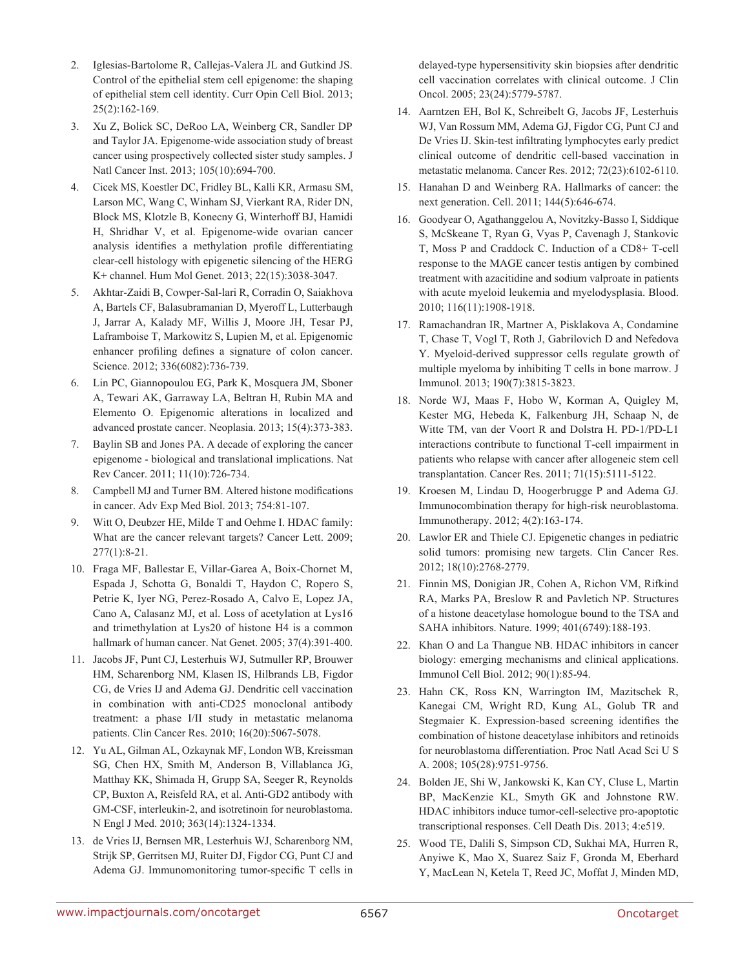- 2. Iglesias-Bartolome R, Callejas-Valera JL and Gutkind JS. Control of the epithelial stem cell epigenome: the shaping of epithelial stem cell identity. Curr Opin Cell Biol. 2013; 25(2):162-169.
- 3. Xu Z, Bolick SC, DeRoo LA, Weinberg CR, Sandler DP and Taylor JA. Epigenome-wide association study of breast cancer using prospectively collected sister study samples. J Natl Cancer Inst. 2013; 105(10):694-700.
- 4. Cicek MS, Koestler DC, Fridley BL, Kalli KR, Armasu SM, Larson MC, Wang C, Winham SJ, Vierkant RA, Rider DN, Block MS, Klotzle B, Konecny G, Winterhoff BJ, Hamidi H, Shridhar V, et al. Epigenome-wide ovarian cancer analysis identifies a methylation profile differentiating clear-cell histology with epigenetic silencing of the HERG K+ channel. Hum Mol Genet. 2013; 22(15):3038-3047.
- 5. Akhtar-Zaidi B, Cowper-Sal-lari R, Corradin O, Saiakhova A, Bartels CF, Balasubramanian D, Myeroff L, Lutterbaugh J, Jarrar A, Kalady MF, Willis J, Moore JH, Tesar PJ, Laframboise T, Markowitz S, Lupien M, et al. Epigenomic enhancer profiling defines a signature of colon cancer. Science. 2012; 336(6082):736-739.
- 6. Lin PC, Giannopoulou EG, Park K, Mosquera JM, Sboner A, Tewari AK, Garraway LA, Beltran H, Rubin MA and Elemento O. Epigenomic alterations in localized and advanced prostate cancer. Neoplasia. 2013; 15(4):373-383.
- 7. Baylin SB and Jones PA. A decade of exploring the cancer epigenome - biological and translational implications. Nat Rev Cancer. 2011; 11(10):726-734.
- 8. Campbell MJ and Turner BM. Altered histone modifications in cancer. Adv Exp Med Biol. 2013; 754:81-107.
- 9. Witt O, Deubzer HE, Milde T and Oehme I. HDAC family: What are the cancer relevant targets? Cancer Lett. 2009;  $277(1):8-21.$
- 10. Fraga MF, Ballestar E, Villar-Garea A, Boix-Chornet M, Espada J, Schotta G, Bonaldi T, Haydon C, Ropero S, Petrie K, Iyer NG, Perez-Rosado A, Calvo E, Lopez JA, Cano A, Calasanz MJ, et al. Loss of acetylation at Lys16 and trimethylation at Lys20 of histone H4 is a common hallmark of human cancer. Nat Genet. 2005; 37(4):391-400.
- 11. Jacobs JF, Punt CJ, Lesterhuis WJ, Sutmuller RP, Brouwer HM, Scharenborg NM, Klasen IS, Hilbrands LB, Figdor CG, de Vries IJ and Adema GJ. Dendritic cell vaccination in combination with anti-CD25 monoclonal antibody treatment: a phase I/II study in metastatic melanoma patients. Clin Cancer Res. 2010; 16(20):5067-5078.
- 12. Yu AL, Gilman AL, Ozkaynak MF, London WB, Kreissman SG, Chen HX, Smith M, Anderson B, Villablanca JG, Matthay KK, Shimada H, Grupp SA, Seeger R, Reynolds CP, Buxton A, Reisfeld RA, et al. Anti-GD2 antibody with GM-CSF, interleukin-2, and isotretinoin for neuroblastoma. N Engl J Med. 2010; 363(14):1324-1334.
- 13. de Vries IJ, Bernsen MR, Lesterhuis WJ, Scharenborg NM, Strijk SP, Gerritsen MJ, Ruiter DJ, Figdor CG, Punt CJ and Adema GJ. Immunomonitoring tumor-specific T cells in

delayed-type hypersensitivity skin biopsies after dendritic cell vaccination correlates with clinical outcome. J Clin Oncol. 2005; 23(24):5779-5787.

- 14. Aarntzen EH, Bol K, Schreibelt G, Jacobs JF, Lesterhuis WJ, Van Rossum MM, Adema GJ, Figdor CG, Punt CJ and De Vries IJ. Skin-test infiltrating lymphocytes early predict clinical outcome of dendritic cell-based vaccination in metastatic melanoma. Cancer Res. 2012; 72(23):6102-6110.
- 15. Hanahan D and Weinberg RA. Hallmarks of cancer: the next generation. Cell. 2011; 144(5):646-674.
- 16. Goodyear O, Agathanggelou A, Novitzky-Basso I, Siddique S, McSkeane T, Ryan G, Vyas P, Cavenagh J, Stankovic T, Moss P and Craddock C. Induction of a CD8+ T-cell response to the MAGE cancer testis antigen by combined treatment with azacitidine and sodium valproate in patients with acute myeloid leukemia and myelodysplasia. Blood. 2010; 116(11):1908-1918.
- 17. Ramachandran IR, Martner A, Pisklakova A, Condamine T, Chase T, Vogl T, Roth J, Gabrilovich D and Nefedova Y. Myeloid-derived suppressor cells regulate growth of multiple myeloma by inhibiting T cells in bone marrow. J Immunol. 2013; 190(7):3815-3823.
- 18. Norde WJ, Maas F, Hobo W, Korman A, Quigley M, Kester MG, Hebeda K, Falkenburg JH, Schaap N, de Witte TM, van der Voort R and Dolstra H. PD-1/PD-L1 interactions contribute to functional T-cell impairment in patients who relapse with cancer after allogeneic stem cell transplantation. Cancer Res. 2011; 71(15):5111-5122.
- 19. Kroesen M, Lindau D, Hoogerbrugge P and Adema GJ. Immunocombination therapy for high-risk neuroblastoma. Immunotherapy. 2012; 4(2):163-174.
- 20. Lawlor ER and Thiele CJ. Epigenetic changes in pediatric solid tumors: promising new targets. Clin Cancer Res. 2012; 18(10):2768-2779.
- 21. Finnin MS, Donigian JR, Cohen A, Richon VM, Rifkind RA, Marks PA, Breslow R and Pavletich NP. Structures of a histone deacetylase homologue bound to the TSA and SAHA inhibitors. Nature. 1999; 401(6749):188-193.
- 22. Khan O and La Thangue NB. HDAC inhibitors in cancer biology: emerging mechanisms and clinical applications. Immunol Cell Biol. 2012; 90(1):85-94.
- 23. Hahn CK, Ross KN, Warrington IM, Mazitschek R, Kanegai CM, Wright RD, Kung AL, Golub TR and Stegmaier K. Expression-based screening identifies the combination of histone deacetylase inhibitors and retinoids for neuroblastoma differentiation. Proc Natl Acad Sci U S A. 2008; 105(28):9751-9756.
- 24. Bolden JE, Shi W, Jankowski K, Kan CY, Cluse L, Martin BP, MacKenzie KL, Smyth GK and Johnstone RW. HDAC inhibitors induce tumor-cell-selective pro-apoptotic transcriptional responses. Cell Death Dis. 2013; 4:e519.
- 25. Wood TE, Dalili S, Simpson CD, Sukhai MA, Hurren R, Anyiwe K, Mao X, Suarez Saiz F, Gronda M, Eberhard Y, MacLean N, Ketela T, Reed JC, Moffat J, Minden MD,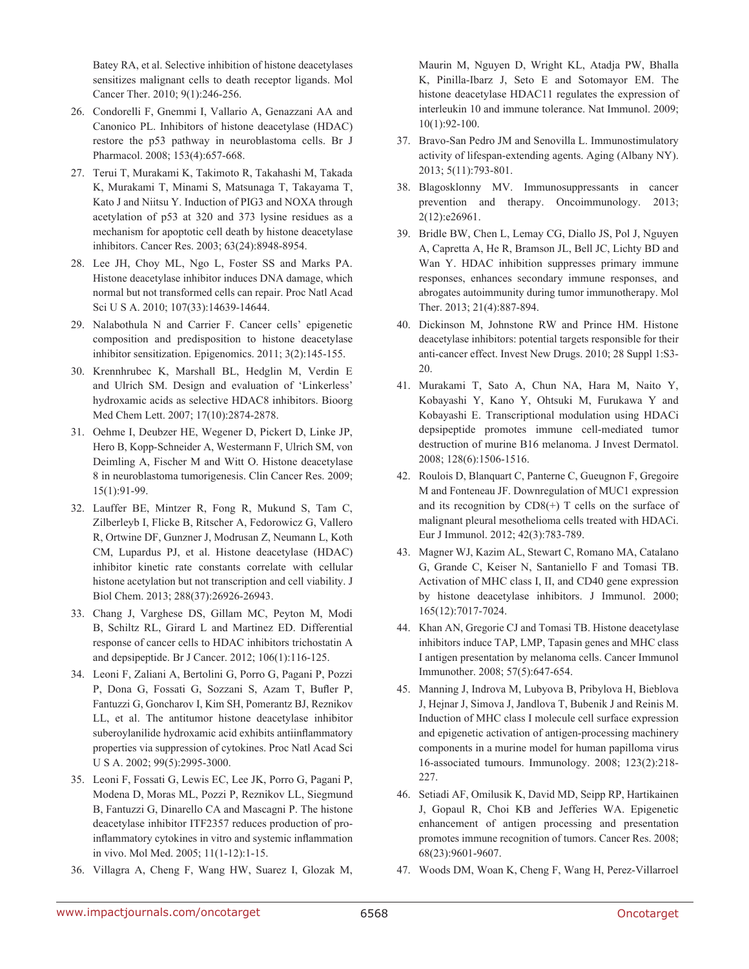Batey RA, et al. Selective inhibition of histone deacetylases sensitizes malignant cells to death receptor ligands. Mol Cancer Ther. 2010; 9(1):246-256.

- 26. Condorelli F, Gnemmi I, Vallario A, Genazzani AA and Canonico PL. Inhibitors of histone deacetylase (HDAC) restore the p53 pathway in neuroblastoma cells. Br J Pharmacol. 2008; 153(4):657-668.
- 27. Terui T, Murakami K, Takimoto R, Takahashi M, Takada K, Murakami T, Minami S, Matsunaga T, Takayama T, Kato J and Niitsu Y. Induction of PIG3 and NOXA through acetylation of p53 at 320 and 373 lysine residues as a mechanism for apoptotic cell death by histone deacetylase inhibitors. Cancer Res. 2003; 63(24):8948-8954.
- 28. Lee JH, Choy ML, Ngo L, Foster SS and Marks PA. Histone deacetylase inhibitor induces DNA damage, which normal but not transformed cells can repair. Proc Natl Acad Sci U S A. 2010; 107(33):14639-14644.
- 29. Nalabothula N and Carrier F. Cancer cells' epigenetic composition and predisposition to histone deacetylase inhibitor sensitization. Epigenomics. 2011; 3(2):145-155.
- 30. Krennhrubec K, Marshall BL, Hedglin M, Verdin E and Ulrich SM. Design and evaluation of 'Linkerless' hydroxamic acids as selective HDAC8 inhibitors. Bioorg Med Chem Lett. 2007; 17(10):2874-2878.
- 31. Oehme I, Deubzer HE, Wegener D, Pickert D, Linke JP, Hero B, Kopp-Schneider A, Westermann F, Ulrich SM, von Deimling A, Fischer M and Witt O. Histone deacetylase 8 in neuroblastoma tumorigenesis. Clin Cancer Res. 2009; 15(1):91-99.
- 32. Lauffer BE, Mintzer R, Fong R, Mukund S, Tam C, Zilberleyb I, Flicke B, Ritscher A, Fedorowicz G, Vallero R, Ortwine DF, Gunzner J, Modrusan Z, Neumann L, Koth CM, Lupardus PJ, et al. Histone deacetylase (HDAC) inhibitor kinetic rate constants correlate with cellular histone acetylation but not transcription and cell viability. J Biol Chem. 2013; 288(37):26926-26943.
- 33. Chang J, Varghese DS, Gillam MC, Peyton M, Modi B, Schiltz RL, Girard L and Martinez ED. Differential response of cancer cells to HDAC inhibitors trichostatin A and depsipeptide. Br J Cancer. 2012; 106(1):116-125.
- 34. Leoni F, Zaliani A, Bertolini G, Porro G, Pagani P, Pozzi P, Dona G, Fossati G, Sozzani S, Azam T, Bufler P, Fantuzzi G, Goncharov I, Kim SH, Pomerantz BJ, Reznikov LL, et al. The antitumor histone deacetylase inhibitor suberoylanilide hydroxamic acid exhibits antiinflammatory properties via suppression of cytokines. Proc Natl Acad Sci U S A. 2002; 99(5):2995-3000.
- 35. Leoni F, Fossati G, Lewis EC, Lee JK, Porro G, Pagani P, Modena D, Moras ML, Pozzi P, Reznikov LL, Siegmund B, Fantuzzi G, Dinarello CA and Mascagni P. The histone deacetylase inhibitor ITF2357 reduces production of proinflammatory cytokines in vitro and systemic inflammation in vivo. Mol Med. 2005; 11(1-12):1-15.
- 36. Villagra A, Cheng F, Wang HW, Suarez I, Glozak M,

Maurin M, Nguyen D, Wright KL, Atadja PW, Bhalla K, Pinilla-Ibarz J, Seto E and Sotomayor EM. The histone deacetylase HDAC11 regulates the expression of interleukin 10 and immune tolerance. Nat Immunol. 2009; 10(1):92-100.

- 37. Bravo-San Pedro JM and Senovilla L. Immunostimulatory activity of lifespan-extending agents. Aging (Albany NY). 2013; 5(11):793-801.
- 38. Blagosklonny MV. Immunosuppressants in cancer prevention and therapy. Oncoimmunology. 2013; 2(12):e26961.
- 39. Bridle BW, Chen L, Lemay CG, Diallo JS, Pol J, Nguyen A, Capretta A, He R, Bramson JL, Bell JC, Lichty BD and Wan Y. HDAC inhibition suppresses primary immune responses, enhances secondary immune responses, and abrogates autoimmunity during tumor immunotherapy. Mol Ther. 2013; 21(4):887-894.
- 40. Dickinson M, Johnstone RW and Prince HM. Histone deacetylase inhibitors: potential targets responsible for their anti-cancer effect. Invest New Drugs. 2010; 28 Suppl 1:S3- 20.
- 41. Murakami T, Sato A, Chun NA, Hara M, Naito Y, Kobayashi Y, Kano Y, Ohtsuki M, Furukawa Y and Kobayashi E. Transcriptional modulation using HDACi depsipeptide promotes immune cell-mediated tumor destruction of murine B16 melanoma. J Invest Dermatol. 2008; 128(6):1506-1516.
- 42. Roulois D, Blanquart C, Panterne C, Gueugnon F, Gregoire M and Fonteneau JF. Downregulation of MUC1 expression and its recognition by  $CDS(+)$  T cells on the surface of malignant pleural mesothelioma cells treated with HDACi. Eur J Immunol. 2012; 42(3):783-789.
- 43. Magner WJ, Kazim AL, Stewart C, Romano MA, Catalano G, Grande C, Keiser N, Santaniello F and Tomasi TB. Activation of MHC class I, II, and CD40 gene expression by histone deacetylase inhibitors. J Immunol. 2000; 165(12):7017-7024.
- 44. Khan AN, Gregorie CJ and Tomasi TB. Histone deacetylase inhibitors induce TAP, LMP, Tapasin genes and MHC class I antigen presentation by melanoma cells. Cancer Immunol Immunother. 2008; 57(5):647-654.
- 45. Manning J, Indrova M, Lubyova B, Pribylova H, Bieblova J, Hejnar J, Simova J, Jandlova T, Bubenik J and Reinis M. Induction of MHC class I molecule cell surface expression and epigenetic activation of antigen-processing machinery components in a murine model for human papilloma virus 16-associated tumours. Immunology. 2008; 123(2):218- 227.
- 46. Setiadi AF, Omilusik K, David MD, Seipp RP, Hartikainen J, Gopaul R, Choi KB and Jefferies WA. Epigenetic enhancement of antigen processing and presentation promotes immune recognition of tumors. Cancer Res. 2008; 68(23):9601-9607.
- 47. Woods DM, Woan K, Cheng F, Wang H, Perez-Villarroel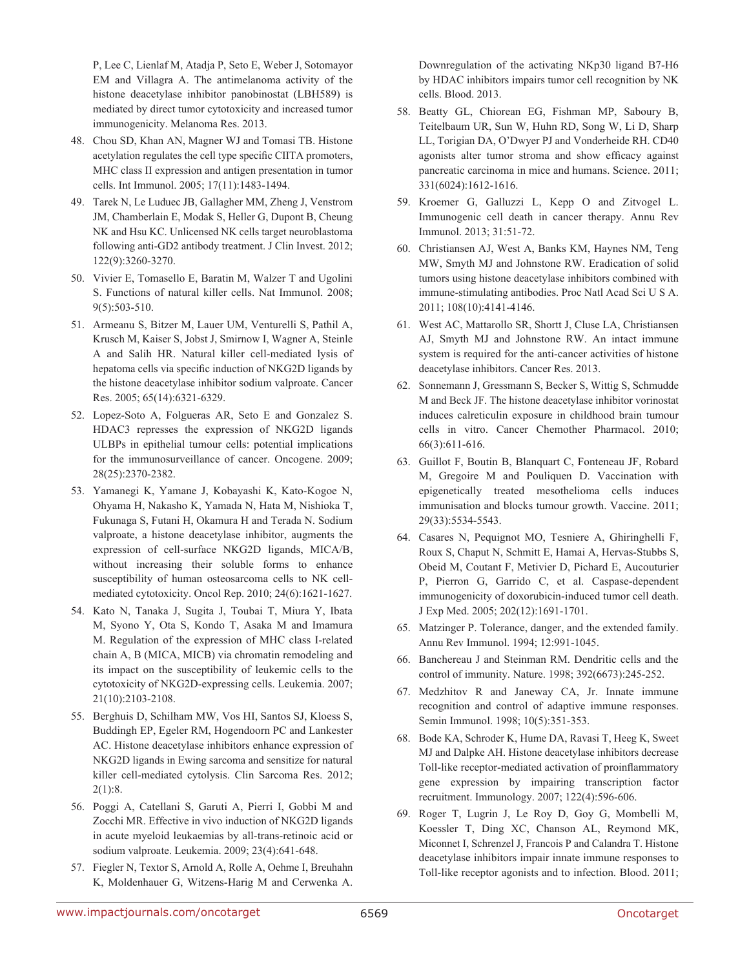P, Lee C, Lienlaf M, Atadja P, Seto E, Weber J, Sotomayor EM and Villagra A. The antimelanoma activity of the histone deacetylase inhibitor panobinostat (LBH589) is mediated by direct tumor cytotoxicity and increased tumor immunogenicity. Melanoma Res. 2013.

- 48. Chou SD, Khan AN, Magner WJ and Tomasi TB. Histone acetylation regulates the cell type specific CIITA promoters, MHC class II expression and antigen presentation in tumor cells. Int Immunol. 2005; 17(11):1483-1494.
- 49. Tarek N, Le Luduec JB, Gallagher MM, Zheng J, Venstrom JM, Chamberlain E, Modak S, Heller G, Dupont B, Cheung NK and Hsu KC. Unlicensed NK cells target neuroblastoma following anti-GD2 antibody treatment. J Clin Invest. 2012; 122(9):3260-3270.
- 50. Vivier E, Tomasello E, Baratin M, Walzer T and Ugolini S. Functions of natural killer cells. Nat Immunol. 2008; 9(5):503-510.
- 51. Armeanu S, Bitzer M, Lauer UM, Venturelli S, Pathil A, Krusch M, Kaiser S, Jobst J, Smirnow I, Wagner A, Steinle A and Salih HR. Natural killer cell-mediated lysis of hepatoma cells via specific induction of NKG2D ligands by the histone deacetylase inhibitor sodium valproate. Cancer Res. 2005; 65(14):6321-6329.
- 52. Lopez-Soto A, Folgueras AR, Seto E and Gonzalez S. HDAC3 represses the expression of NKG2D ligands ULBPs in epithelial tumour cells: potential implications for the immunosurveillance of cancer. Oncogene. 2009; 28(25):2370-2382.
- 53. Yamanegi K, Yamane J, Kobayashi K, Kato-Kogoe N, Ohyama H, Nakasho K, Yamada N, Hata M, Nishioka T, Fukunaga S, Futani H, Okamura H and Terada N. Sodium valproate, a histone deacetylase inhibitor, augments the expression of cell-surface NKG2D ligands, MICA/B, without increasing their soluble forms to enhance susceptibility of human osteosarcoma cells to NK cellmediated cytotoxicity. Oncol Rep. 2010; 24(6):1621-1627.
- 54. Kato N, Tanaka J, Sugita J, Toubai T, Miura Y, Ibata M, Syono Y, Ota S, Kondo T, Asaka M and Imamura M. Regulation of the expression of MHC class I-related chain A, B (MICA, MICB) via chromatin remodeling and its impact on the susceptibility of leukemic cells to the cytotoxicity of NKG2D-expressing cells. Leukemia. 2007; 21(10):2103-2108.
- 55. Berghuis D, Schilham MW, Vos HI, Santos SJ, Kloess S, Buddingh EP, Egeler RM, Hogendoorn PC and Lankester AC. Histone deacetylase inhibitors enhance expression of NKG2D ligands in Ewing sarcoma and sensitize for natural killer cell-mediated cytolysis. Clin Sarcoma Res. 2012;  $2(1):8.$
- 56. Poggi A, Catellani S, Garuti A, Pierri I, Gobbi M and Zocchi MR. Effective in vivo induction of NKG2D ligands in acute myeloid leukaemias by all-trans-retinoic acid or sodium valproate. Leukemia. 2009; 23(4):641-648.
- 57. Fiegler N, Textor S, Arnold A, Rolle A, Oehme I, Breuhahn K, Moldenhauer G, Witzens-Harig M and Cerwenka A.

Downregulation of the activating NKp30 ligand B7-H6 by HDAC inhibitors impairs tumor cell recognition by NK cells. Blood. 2013.

- 58. Beatty GL, Chiorean EG, Fishman MP, Saboury B, Teitelbaum UR, Sun W, Huhn RD, Song W, Li D, Sharp LL, Torigian DA, O'Dwyer PJ and Vonderheide RH. CD40 agonists alter tumor stroma and show efficacy against pancreatic carcinoma in mice and humans. Science. 2011; 331(6024):1612-1616.
- 59. Kroemer G, Galluzzi L, Kepp O and Zitvogel L. Immunogenic cell death in cancer therapy. Annu Rev Immunol. 2013; 31:51-72.
- 60. Christiansen AJ, West A, Banks KM, Haynes NM, Teng MW, Smyth MJ and Johnstone RW. Eradication of solid tumors using histone deacetylase inhibitors combined with immune-stimulating antibodies. Proc Natl Acad Sci U S A. 2011; 108(10):4141-4146.
- 61. West AC, Mattarollo SR, Shortt J, Cluse LA, Christiansen AJ, Smyth MJ and Johnstone RW. An intact immune system is required for the anti-cancer activities of histone deacetylase inhibitors. Cancer Res. 2013.
- 62. Sonnemann J, Gressmann S, Becker S, Wittig S, Schmudde M and Beck JF. The histone deacetylase inhibitor vorinostat induces calreticulin exposure in childhood brain tumour cells in vitro. Cancer Chemother Pharmacol. 2010; 66(3):611-616.
- 63. Guillot F, Boutin B, Blanquart C, Fonteneau JF, Robard M, Gregoire M and Pouliquen D. Vaccination with epigenetically treated mesothelioma cells induces immunisation and blocks tumour growth. Vaccine. 2011; 29(33):5534-5543.
- 64. Casares N, Pequignot MO, Tesniere A, Ghiringhelli F, Roux S, Chaput N, Schmitt E, Hamai A, Hervas-Stubbs S, Obeid M, Coutant F, Metivier D, Pichard E, Aucouturier P, Pierron G, Garrido C, et al. Caspase-dependent immunogenicity of doxorubicin-induced tumor cell death. J Exp Med. 2005; 202(12):1691-1701.
- 65. Matzinger P. Tolerance, danger, and the extended family. Annu Rev Immunol. 1994; 12:991-1045.
- 66. Banchereau J and Steinman RM. Dendritic cells and the control of immunity. Nature. 1998; 392(6673):245-252.
- 67. Medzhitov R and Janeway CA, Jr. Innate immune recognition and control of adaptive immune responses. Semin Immunol. 1998; 10(5):351-353.
- 68. Bode KA, Schroder K, Hume DA, Ravasi T, Heeg K, Sweet MJ and Dalpke AH. Histone deacetylase inhibitors decrease Toll-like receptor-mediated activation of proinflammatory gene expression by impairing transcription factor recruitment. Immunology. 2007; 122(4):596-606.
- 69. Roger T, Lugrin J, Le Roy D, Goy G, Mombelli M, Koessler T, Ding XC, Chanson AL, Reymond MK, Miconnet I, Schrenzel J, Francois P and Calandra T. Histone deacetylase inhibitors impair innate immune responses to Toll-like receptor agonists and to infection. Blood. 2011;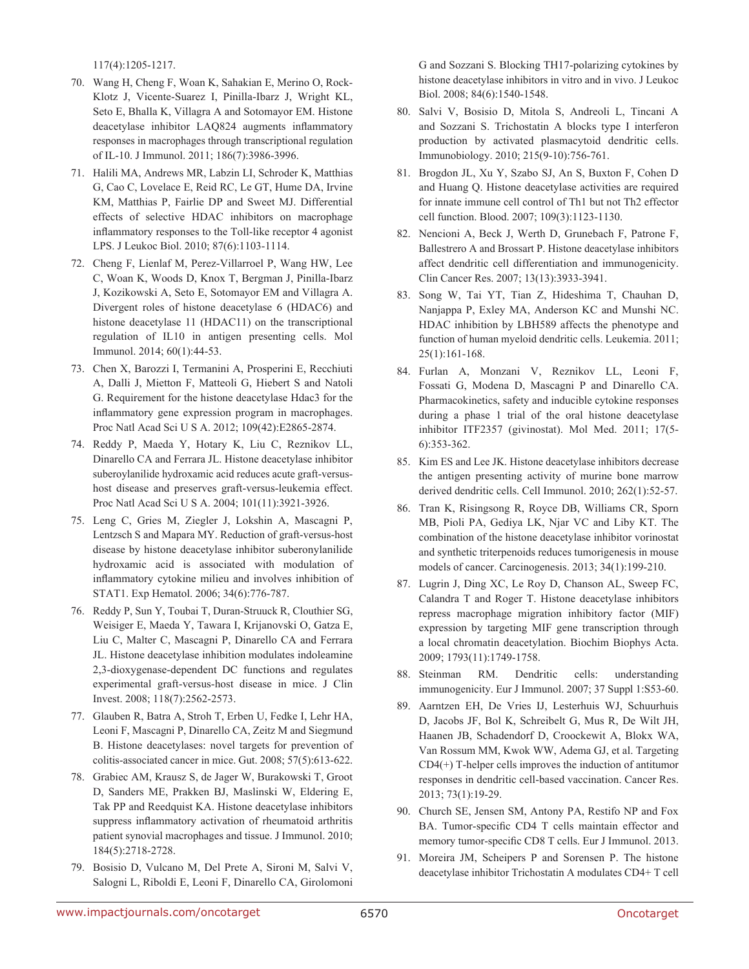117(4):1205-1217.

- 70. Wang H, Cheng F, Woan K, Sahakian E, Merino O, Rock-Klotz J, Vicente-Suarez I, Pinilla-Ibarz J, Wright KL, Seto E, Bhalla K, Villagra A and Sotomayor EM. Histone deacetylase inhibitor LAQ824 augments inflammatory responses in macrophages through transcriptional regulation of IL-10. J Immunol. 2011; 186(7):3986-3996.
- 71. Halili MA, Andrews MR, Labzin LI, Schroder K, Matthias G, Cao C, Lovelace E, Reid RC, Le GT, Hume DA, Irvine KM, Matthias P, Fairlie DP and Sweet MJ. Differential effects of selective HDAC inhibitors on macrophage inflammatory responses to the Toll-like receptor 4 agonist LPS. J Leukoc Biol. 2010; 87(6):1103-1114.
- 72. Cheng F, Lienlaf M, Perez-Villarroel P, Wang HW, Lee C, Woan K, Woods D, Knox T, Bergman J, Pinilla-Ibarz J, Kozikowski A, Seto E, Sotomayor EM and Villagra A. Divergent roles of histone deacetylase 6 (HDAC6) and histone deacetylase 11 (HDAC11) on the transcriptional regulation of IL10 in antigen presenting cells. Mol Immunol. 2014; 60(1):44-53.
- 73. Chen X, Barozzi I, Termanini A, Prosperini E, Recchiuti A, Dalli J, Mietton F, Matteoli G, Hiebert S and Natoli G. Requirement for the histone deacetylase Hdac3 for the inflammatory gene expression program in macrophages. Proc Natl Acad Sci U S A. 2012; 109(42):E2865-2874.
- 74. Reddy P, Maeda Y, Hotary K, Liu C, Reznikov LL, Dinarello CA and Ferrara JL. Histone deacetylase inhibitor suberoylanilide hydroxamic acid reduces acute graft-versushost disease and preserves graft-versus-leukemia effect. Proc Natl Acad Sci U S A. 2004; 101(11):3921-3926.
- 75. Leng C, Gries M, Ziegler J, Lokshin A, Mascagni P, Lentzsch S and Mapara MY. Reduction of graft-versus-host disease by histone deacetylase inhibitor suberonylanilide hydroxamic acid is associated with modulation of inflammatory cytokine milieu and involves inhibition of STAT1. Exp Hematol. 2006; 34(6):776-787.
- 76. Reddy P, Sun Y, Toubai T, Duran-Struuck R, Clouthier SG, Weisiger E, Maeda Y, Tawara I, Krijanovski O, Gatza E, Liu C, Malter C, Mascagni P, Dinarello CA and Ferrara JL. Histone deacetylase inhibition modulates indoleamine 2,3-dioxygenase-dependent DC functions and regulates experimental graft-versus-host disease in mice. J Clin Invest. 2008; 118(7):2562-2573.
- 77. Glauben R, Batra A, Stroh T, Erben U, Fedke I, Lehr HA, Leoni F, Mascagni P, Dinarello CA, Zeitz M and Siegmund B. Histone deacetylases: novel targets for prevention of colitis-associated cancer in mice. Gut. 2008; 57(5):613-622.
- 78. Grabiec AM, Krausz S, de Jager W, Burakowski T, Groot D, Sanders ME, Prakken BJ, Maslinski W, Eldering E, Tak PP and Reedquist KA. Histone deacetylase inhibitors suppress inflammatory activation of rheumatoid arthritis patient synovial macrophages and tissue. J Immunol. 2010; 184(5):2718-2728.
- 79. Bosisio D, Vulcano M, Del Prete A, Sironi M, Salvi V, Salogni L, Riboldi E, Leoni F, Dinarello CA, Girolomoni

G and Sozzani S. Blocking TH17-polarizing cytokines by histone deacetylase inhibitors in vitro and in vivo. J Leukoc Biol. 2008; 84(6):1540-1548.

- 80. Salvi V, Bosisio D, Mitola S, Andreoli L, Tincani A and Sozzani S. Trichostatin A blocks type I interferon production by activated plasmacytoid dendritic cells. Immunobiology. 2010; 215(9-10):756-761.
- 81. Brogdon JL, Xu Y, Szabo SJ, An S, Buxton F, Cohen D and Huang Q. Histone deacetylase activities are required for innate immune cell control of Th1 but not Th2 effector cell function. Blood. 2007; 109(3):1123-1130.
- 82. Nencioni A, Beck J, Werth D, Grunebach F, Patrone F, Ballestrero A and Brossart P. Histone deacetylase inhibitors affect dendritic cell differentiation and immunogenicity. Clin Cancer Res. 2007; 13(13):3933-3941.
- 83. Song W, Tai YT, Tian Z, Hideshima T, Chauhan D, Nanjappa P, Exley MA, Anderson KC and Munshi NC. HDAC inhibition by LBH589 affects the phenotype and function of human myeloid dendritic cells. Leukemia. 2011; 25(1):161-168.
- 84. Furlan A, Monzani V, Reznikov LL, Leoni F, Fossati G, Modena D, Mascagni P and Dinarello CA. Pharmacokinetics, safety and inducible cytokine responses during a phase 1 trial of the oral histone deacetylase inhibitor ITF2357 (givinostat). Mol Med. 2011; 17(5- 6):353-362.
- 85. Kim ES and Lee JK. Histone deacetylase inhibitors decrease the antigen presenting activity of murine bone marrow derived dendritic cells. Cell Immunol. 2010; 262(1):52-57.
- 86. Tran K, Risingsong R, Royce DB, Williams CR, Sporn MB, Pioli PA, Gediya LK, Njar VC and Liby KT. The combination of the histone deacetylase inhibitor vorinostat and synthetic triterpenoids reduces tumorigenesis in mouse models of cancer. Carcinogenesis. 2013; 34(1):199-210.
- 87. Lugrin J, Ding XC, Le Roy D, Chanson AL, Sweep FC, Calandra T and Roger T. Histone deacetylase inhibitors repress macrophage migration inhibitory factor (MIF) expression by targeting MIF gene transcription through a local chromatin deacetylation. Biochim Biophys Acta. 2009; 1793(11):1749-1758.
- 88. Steinman RM. Dendritic cells: understanding immunogenicity. Eur J Immunol. 2007; 37 Suppl 1:S53-60.
- 89. Aarntzen EH, De Vries IJ, Lesterhuis WJ, Schuurhuis D, Jacobs JF, Bol K, Schreibelt G, Mus R, De Wilt JH, Haanen JB, Schadendorf D, Croockewit A, Blokx WA, Van Rossum MM, Kwok WW, Adema GJ, et al. Targeting CD4(+) T-helper cells improves the induction of antitumor responses in dendritic cell-based vaccination. Cancer Res. 2013; 73(1):19-29.
- 90. Church SE, Jensen SM, Antony PA, Restifo NP and Fox BA. Tumor-specific CD4 T cells maintain effector and memory tumor-specific CD8 T cells. Eur J Immunol. 2013.
- 91. Moreira JM, Scheipers P and Sorensen P. The histone deacetylase inhibitor Trichostatin A modulates CD4+ T cell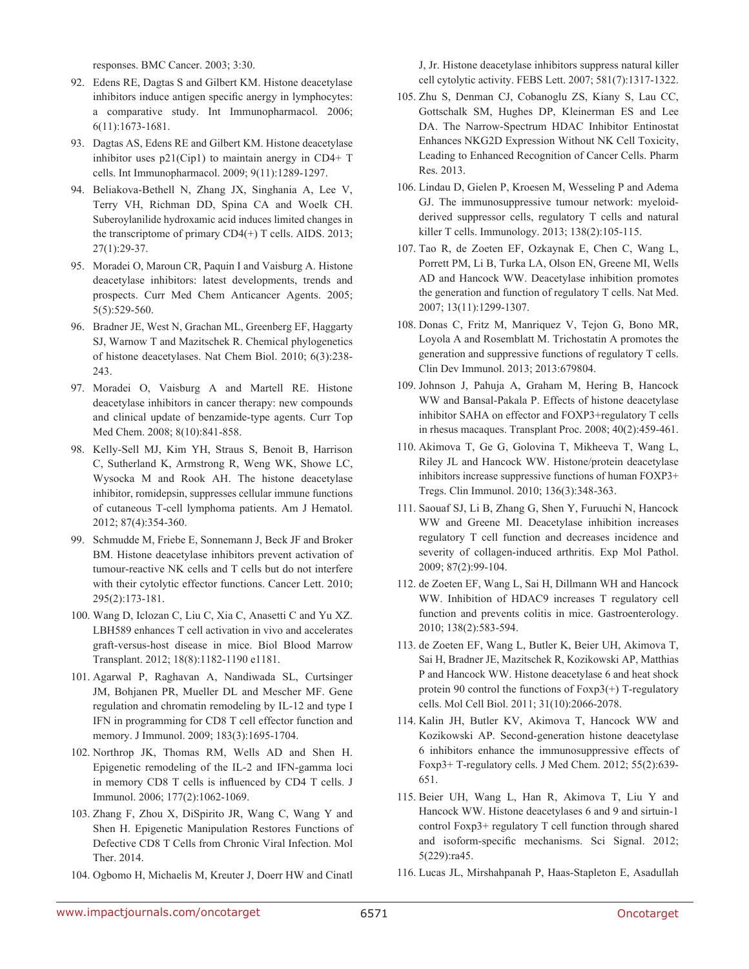responses. BMC Cancer. 2003; 3:30.

- 92. Edens RE, Dagtas S and Gilbert KM. Histone deacetylase inhibitors induce antigen specific anergy in lymphocytes: a comparative study. Int Immunopharmacol. 2006; 6(11):1673-1681.
- 93. Dagtas AS, Edens RE and Gilbert KM. Histone deacetylase inhibitor uses  $p21(Cip1)$  to maintain anergy in CD4+ T cells. Int Immunopharmacol. 2009; 9(11):1289-1297.
- 94. Beliakova-Bethell N, Zhang JX, Singhania A, Lee V, Terry VH, Richman DD, Spina CA and Woelk CH. Suberoylanilide hydroxamic acid induces limited changes in the transcriptome of primary CD4(+) T cells. AIDS. 2013; 27(1):29-37.
- 95. Moradei O, Maroun CR, Paquin I and Vaisburg A. Histone deacetylase inhibitors: latest developments, trends and prospects. Curr Med Chem Anticancer Agents. 2005; 5(5):529-560.
- 96. Bradner JE, West N, Grachan ML, Greenberg EF, Haggarty SJ, Warnow T and Mazitschek R. Chemical phylogenetics of histone deacetylases. Nat Chem Biol. 2010; 6(3):238- 243.
- 97. Moradei O, Vaisburg A and Martell RE. Histone deacetylase inhibitors in cancer therapy: new compounds and clinical update of benzamide-type agents. Curr Top Med Chem. 2008; 8(10):841-858.
- 98. Kelly-Sell MJ, Kim YH, Straus S, Benoit B, Harrison C, Sutherland K, Armstrong R, Weng WK, Showe LC, Wysocka M and Rook AH. The histone deacetylase inhibitor, romidepsin, suppresses cellular immune functions of cutaneous T-cell lymphoma patients. Am J Hematol. 2012; 87(4):354-360.
- 99. Schmudde M, Friebe E, Sonnemann J, Beck JF and Broker BM. Histone deacetylase inhibitors prevent activation of tumour-reactive NK cells and T cells but do not interfere with their cytolytic effector functions. Cancer Lett. 2010; 295(2):173-181.
- 100. Wang D, Iclozan C, Liu C, Xia C, Anasetti C and Yu XZ. LBH589 enhances T cell activation in vivo and accelerates graft-versus-host disease in mice. Biol Blood Marrow Transplant. 2012; 18(8):1182-1190 e1181.
- 101. Agarwal P, Raghavan A, Nandiwada SL, Curtsinger JM, Bohjanen PR, Mueller DL and Mescher MF. Gene regulation and chromatin remodeling by IL-12 and type I IFN in programming for CD8 T cell effector function and memory. J Immunol. 2009; 183(3):1695-1704.
- 102. Northrop JK, Thomas RM, Wells AD and Shen H. Epigenetic remodeling of the IL-2 and IFN-gamma loci in memory CD8 T cells is influenced by CD4 T cells. J Immunol. 2006; 177(2):1062-1069.
- 103. Zhang F, Zhou X, DiSpirito JR, Wang C, Wang Y and Shen H. Epigenetic Manipulation Restores Functions of Defective CD8 T Cells from Chronic Viral Infection. Mol Ther. 2014.
- 104. Ogbomo H, Michaelis M, Kreuter J, Doerr HW and Cinatl

J, Jr. Histone deacetylase inhibitors suppress natural killer cell cytolytic activity. FEBS Lett. 2007; 581(7):1317-1322.

- 105. Zhu S, Denman CJ, Cobanoglu ZS, Kiany S, Lau CC, Gottschalk SM, Hughes DP, Kleinerman ES and Lee DA. The Narrow-Spectrum HDAC Inhibitor Entinostat Enhances NKG2D Expression Without NK Cell Toxicity, Leading to Enhanced Recognition of Cancer Cells. Pharm Res. 2013.
- 106. Lindau D, Gielen P, Kroesen M, Wesseling P and Adema GJ. The immunosuppressive tumour network: myeloidderived suppressor cells, regulatory T cells and natural killer T cells. Immunology. 2013; 138(2):105-115.
- 107. Tao R, de Zoeten EF, Ozkaynak E, Chen C, Wang L, Porrett PM, Li B, Turka LA, Olson EN, Greene MI, Wells AD and Hancock WW. Deacetylase inhibition promotes the generation and function of regulatory T cells. Nat Med. 2007; 13(11):1299-1307.
- 108. Donas C, Fritz M, Manriquez V, Tejon G, Bono MR, Loyola A and Rosemblatt M. Trichostatin A promotes the generation and suppressive functions of regulatory T cells. Clin Dev Immunol. 2013; 2013:679804.
- 109. Johnson J, Pahuja A, Graham M, Hering B, Hancock WW and Bansal-Pakala P. Effects of histone deacetylase inhibitor SAHA on effector and FOXP3+regulatory T cells in rhesus macaques. Transplant Proc. 2008; 40(2):459-461.
- 110. Akimova T, Ge G, Golovina T, Mikheeva T, Wang L, Riley JL and Hancock WW. Histone/protein deacetylase inhibitors increase suppressive functions of human FOXP3+ Tregs. Clin Immunol. 2010; 136(3):348-363.
- 111. Saouaf SJ, Li B, Zhang G, Shen Y, Furuuchi N, Hancock WW and Greene MI. Deacetylase inhibition increases regulatory T cell function and decreases incidence and severity of collagen-induced arthritis. Exp Mol Pathol. 2009; 87(2):99-104.
- 112. de Zoeten EF, Wang L, Sai H, Dillmann WH and Hancock WW. Inhibition of HDAC9 increases T regulatory cell function and prevents colitis in mice. Gastroenterology. 2010; 138(2):583-594.
- 113. de Zoeten EF, Wang L, Butler K, Beier UH, Akimova T, Sai H, Bradner JE, Mazitschek R, Kozikowski AP, Matthias P and Hancock WW. Histone deacetylase 6 and heat shock protein 90 control the functions of Foxp3(+) T-regulatory cells. Mol Cell Biol. 2011; 31(10):2066-2078.
- 114. Kalin JH, Butler KV, Akimova T, Hancock WW and Kozikowski AP. Second-generation histone deacetylase 6 inhibitors enhance the immunosuppressive effects of Foxp3+ T-regulatory cells. J Med Chem. 2012; 55(2):639- 651.
- 115. Beier UH, Wang L, Han R, Akimova T, Liu Y and Hancock WW. Histone deacetylases 6 and 9 and sirtuin-1 control Foxp3+ regulatory T cell function through shared and isoform-specific mechanisms. Sci Signal. 2012; 5(229):ra45.
- 116. Lucas JL, Mirshahpanah P, Haas-Stapleton E, Asadullah